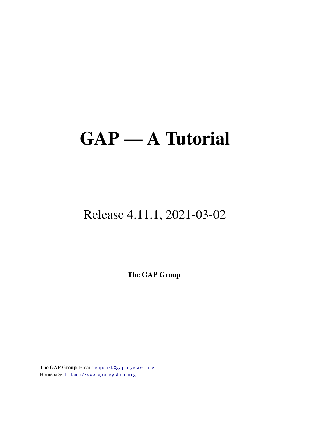# GAP — A Tutorial

### Release 4.11.1, 2021-03-02

The GAP Group

The GAP Group Email: [support@gap-system.org](mailto://support@gap-system.org) Homepage: <https://www.gap-system.org>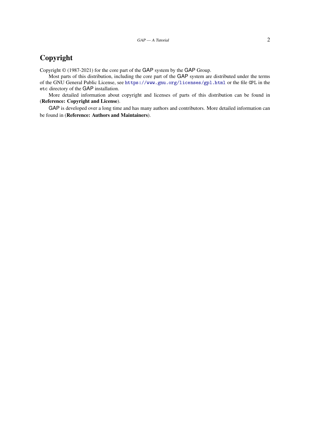### Copyright

Copyright © (1987-2021) for the core part of the GAP system by the GAP Group.

Most parts of this distribution, including the core part of the GAP system are distributed under the terms of the GNU General Public License, see <https://www.gnu.org/licenses/gpl.html> or the file GPL in the etc directory of the GAP installation.

More detailed information about copyright and licenses of parts of this distribution can be found in (Reference: Copyright and License).

GAP is developed over a long time and has many authors and contributors. More detailed information can be found in (Reference: Authors and Maintainers).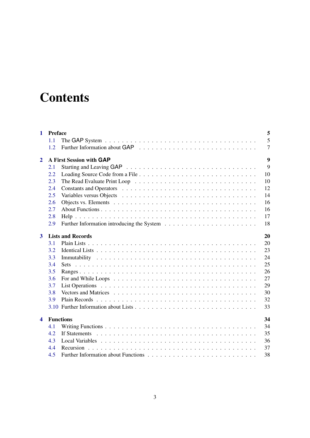## **Contents**

| 1                       |                                | 5<br><b>Preface</b>                                                                                             |  |  |  |  |  |  |
|-------------------------|--------------------------------|-----------------------------------------------------------------------------------------------------------------|--|--|--|--|--|--|
|                         | 1.1                            | 5                                                                                                               |  |  |  |  |  |  |
|                         | 1.2                            | $\overline{7}$                                                                                                  |  |  |  |  |  |  |
| $\mathbf{2}$            |                                | 9<br>A First Session with GAP                                                                                   |  |  |  |  |  |  |
|                         | 2.1                            | 9                                                                                                               |  |  |  |  |  |  |
|                         | 2.2                            | 10                                                                                                              |  |  |  |  |  |  |
|                         | 2.3                            | 10                                                                                                              |  |  |  |  |  |  |
|                         | 2.4                            | 12                                                                                                              |  |  |  |  |  |  |
|                         | 2.5                            | 14                                                                                                              |  |  |  |  |  |  |
|                         | 2.6                            | 16                                                                                                              |  |  |  |  |  |  |
|                         | 2.7                            | 16                                                                                                              |  |  |  |  |  |  |
|                         | 2.8                            | 17                                                                                                              |  |  |  |  |  |  |
|                         | 2.9                            | 18                                                                                                              |  |  |  |  |  |  |
| $\mathbf{3}$            | <b>Lists and Records</b><br>20 |                                                                                                                 |  |  |  |  |  |  |
|                         | 3.1                            | 20                                                                                                              |  |  |  |  |  |  |
|                         | 3.2                            | 23                                                                                                              |  |  |  |  |  |  |
|                         | 3.3                            | 24                                                                                                              |  |  |  |  |  |  |
|                         | 3.4                            | 25<br>Sets                                                                                                      |  |  |  |  |  |  |
|                         | 3.5                            | 26                                                                                                              |  |  |  |  |  |  |
|                         | 3.6                            | 27<br>For and While Loops $\dots \dots \dots \dots \dots \dots \dots \dots \dots \dots \dots \dots \dots \dots$ |  |  |  |  |  |  |
|                         | 3.7                            | 29                                                                                                              |  |  |  |  |  |  |
|                         | 3.8                            | 30                                                                                                              |  |  |  |  |  |  |
|                         | 3.9                            | 32                                                                                                              |  |  |  |  |  |  |
|                         |                                | 33                                                                                                              |  |  |  |  |  |  |
| $\overline{\mathbf{4}}$ | <b>Functions</b><br>34         |                                                                                                                 |  |  |  |  |  |  |
|                         | 4.1                            | 34                                                                                                              |  |  |  |  |  |  |
|                         | 4.2                            | 35                                                                                                              |  |  |  |  |  |  |
|                         | 4.3                            | 36                                                                                                              |  |  |  |  |  |  |
|                         | 4.4                            | 37                                                                                                              |  |  |  |  |  |  |
|                         | 4.5                            | 38                                                                                                              |  |  |  |  |  |  |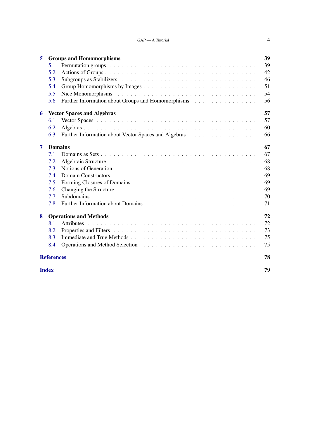#### $GAP - A$  Tutorial  $4$

| 5              |                                         | <b>Groups and Homomorphisms</b>                            |  |  |  |  |  |  |
|----------------|-----------------------------------------|------------------------------------------------------------|--|--|--|--|--|--|
|                | 5.1                                     | 39                                                         |  |  |  |  |  |  |
|                | 5.2                                     | 42                                                         |  |  |  |  |  |  |
|                | 5.3                                     | 46                                                         |  |  |  |  |  |  |
|                | 5.4                                     | 51                                                         |  |  |  |  |  |  |
|                | 5.5                                     | 54                                                         |  |  |  |  |  |  |
|                | 5.6                                     | Further Information about Groups and Homomorphisms<br>56   |  |  |  |  |  |  |
| 6              | 57<br><b>Vector Spaces and Algebras</b> |                                                            |  |  |  |  |  |  |
|                | 6.1                                     | 57                                                         |  |  |  |  |  |  |
|                | 6.2                                     | 60                                                         |  |  |  |  |  |  |
|                | 6.3                                     | Further Information about Vector Spaces and Algebras<br>66 |  |  |  |  |  |  |
| $\overline{7}$ |                                         | 67<br><b>Domains</b>                                       |  |  |  |  |  |  |
|                | 7.1                                     | 67                                                         |  |  |  |  |  |  |
|                | 7.2                                     | 68                                                         |  |  |  |  |  |  |
|                | 7.3                                     | 68                                                         |  |  |  |  |  |  |
|                | 7.4                                     | 69                                                         |  |  |  |  |  |  |
|                | 7.5                                     | 69                                                         |  |  |  |  |  |  |
|                | 7.6                                     | 69                                                         |  |  |  |  |  |  |
|                | 7.7                                     | 70                                                         |  |  |  |  |  |  |
|                | 7.8                                     | 71                                                         |  |  |  |  |  |  |
| 8              | 72<br><b>Operations and Methods</b>     |                                                            |  |  |  |  |  |  |
|                | 8.1                                     | 72                                                         |  |  |  |  |  |  |
|                | 8.2                                     | 73                                                         |  |  |  |  |  |  |
|                | 8.3                                     | 75                                                         |  |  |  |  |  |  |
|                | 8.4                                     | 75                                                         |  |  |  |  |  |  |
|                | <b>References</b>                       | 78                                                         |  |  |  |  |  |  |
|                | <b>Index</b>                            | 79                                                         |  |  |  |  |  |  |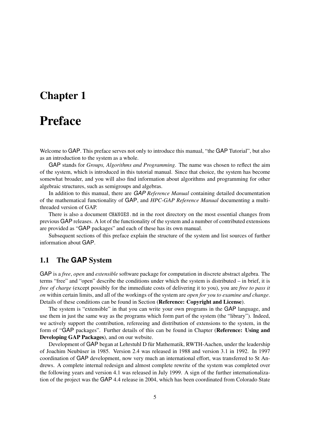### <span id="page-4-0"></span>Chapter 1

### Preface

Welcome to GAP. This preface serves not only to introduce this manual, "the GAP Tutorial", but also as an introduction to the system as a whole.

GAP stands for *Groups, Algorithms and Programming*. The name was chosen to reflect the aim of the system, which is introduced in this tutorial manual. Since that choice, the system has become somewhat broader, and you will also find information about algorithms and programming for other algebraic structures, such as semigroups and algebras.

In addition to this manual, there are *GAP Reference Manual* containing detailed documentation of the mathematical functionality of GAP, and *HPC-GAP Reference Manual* documenting a multithreaded version of GAP.

There is also a document CHANGES.md in the root directory on the most essential changes from previous GAP releases. A lot of the functionality of the system and a number of contributed extensions are provided as "GAP packages" and each of these has its own manual.

Subsequent sections of this preface explain the structure of the system and list sources of further information about GAP.

#### <span id="page-4-1"></span>1.1 The **GAP** System

GAP is a *free*, *open* and *extensible* software package for computation in discrete abstract algebra. The terms "free" and "open" describe the conditions under which the system is distributed – in brief, it is *free of charge* (except possibly for the immediate costs of delivering it to you), you are *free to pass it on* within certain limits, and all of the workings of the system are *open for you to examine and change*. Details of these conditions can be found in Section (Reference: Copyright and License).

The system is "extensible" in that you can write your own programs in the GAP language, and use them in just the same way as the programs which form part of the system (the "library"). Indeed, we actively support the contribution, refereeing and distribution of extensions to the system, in the form of "GAP packages". Further details of this can be found in Chapter (Reference: Using and Developing GAP Packages), and on our website.

Development of GAP began at Lehrstuhl D für Mathematik, RWTH-Aachen, under the leadership of Joachim Neubüser in 1985. Version 2.4 was released in 1988 and version 3.1 in 1992. In 1997 coordination of GAP development, now very much an international effort, was transferred to St Andrews. A complete internal redesign and almost complete rewrite of the system was completed over the following years and version 4.1 was released in July 1999. A sign of the further internationalization of the project was the GAP 4.4 release in 2004, which has been coordinated from Colorado State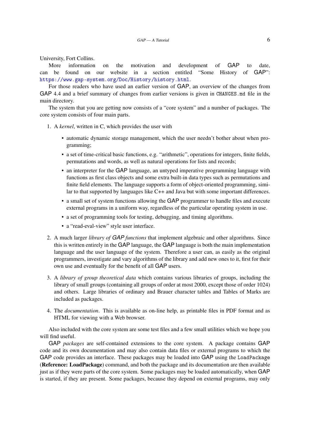University, Fort Collins.

More information on the motivation and development of GAP to date, can be found on our website in a section entitled "Some History of GAP": <https://www.gap-system.org/Doc/History/history.html>.

For those readers who have used an earlier version of GAP, an overview of the changes from GAP 4.4 and a brief summary of changes from earlier versions is given in CHANGES.md file in the main directory.

The system that you are getting now consists of a "core system" and a number of packages. The core system consists of four main parts.

- 1. A *kernel*, written in C, which provides the user with
	- automatic dynamic storage management, which the user needn't bother about when programming;
	- a set of time-critical basic functions, e.g. "arithmetic", operations for integers, finite fields, permutations and words, as well as natural operations for lists and records;
	- an interpreter for the GAP language, an untyped imperative programming language with functions as first class objects and some extra built-in data types such as permutations and finite field elements. The language supports a form of object-oriented programming, similar to that supported by languages like C++ and Java but with some important differences.
	- a small set of system functions allowing the GAP programmer to handle files and execute external programs in a uniform way, regardless of the particular operating system in use.
	- a set of programming tools for testing, debugging, and timing algorithms.
	- a "read-eval-view" style user interface.
- 2. A much larger *library of GAP functions* that implement algebraic and other algorithms. Since this is written entirely in the GAP language, the GAP language is both the main implementation language and the user language of the system. Therefore a user can, as easily as the original programmers, investigate and vary algorithms of the library and add new ones to it, first for their own use and eventually for the benefit of all GAP users.
- 3. A *library of group theoretical data* which contains various libraries of groups, including the library of small groups (containing all groups of order at most 2000, except those of order 1024) and others. Large libraries of ordinary and Brauer character tables and Tables of Marks are included as packages.
- 4. The *documentation*. This is available as on-line help, as printable files in PDF format and as HTML for viewing with a Web browser.

Also included with the core system are some test files and a few small utilities which we hope you will find useful.

GAP *packages* are self-contained extensions to the core system. A package contains GAP code and its own documentation and may also contain data files or external programs to which the GAP code provides an interface. These packages may be loaded into GAP using the LoadPackage (Reference: LoadPackage) command, and both the package and its documentation are then available just as if they were parts of the core system. Some packages may be loaded automatically, when GAP is started, if they are present. Some packages, because they depend on external programs, may only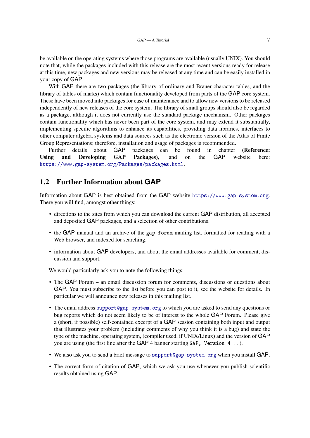be available on the operating systems where those programs are available (usually UNIX). You should note that, while the packages included with this release are the most recent versions ready for release at this time, new packages and new versions may be released at any time and can be easily installed in your copy of GAP.

With GAP there are two packages (the library of ordinary and Brauer character tables, and the library of tables of marks) which contain functionality developed from parts of the GAP core system. These have been moved into packages for ease of maintenance and to allow new versions to be released independently of new releases of the core system. The library of small groups should also be regarded as a package, although it does not currently use the standard package mechanism. Other packages contain functionality which has never been part of the core system, and may extend it substantially, implementing specific algorithms to enhance its capabilities, providing data libraries, interfaces to other computer algebra systems and data sources such as the electronic version of the Atlas of Finite Group Representations; therefore, installation and usage of packages is recommended.

Further details about GAP packages can be found in chapter (Reference: Using and Developing GAP Packages), and on the GAP website here: <https://www.gap-system.org/Packages/packages.html>.

#### <span id="page-6-0"></span>1.2 Further Information about **GAP**

Information about GAP is best obtained from the GAP website <https://www.gap-system.org>. There you will find, amongst other things:

- directions to the sites from which you can download the current GAP distribution, all accepted and deposited GAP packages, and a selection of other contributions.
- the GAP manual and an archive of the gap-forum mailing list, formatted for reading with a Web browser, and indexed for searching.
- information about GAP developers, and about the email addresses available for comment, discussion and support.

We would particularly ask you to note the following things:

- The GAP Forum an email discussion forum for comments, discussions or questions about GAP. You must subscribe to the list before you can post to it, see the website for details. In particular we will announce new releases in this mailing list.
- The email address [support@gap-system.org](mailto://support@gap-system.org) to which you are asked to send any questions or bug reports which do not seem likely to be of interest to the whole GAP Forum. Please give a (short, if possible) self-contained excerpt of a GAP session containing both input and output that illustrates your problem (including comments of why you think it is a bug) and state the type of the machine, operating system, (compiler used, if UNIX/Linux) and the version of GAP you are using (the first line after the GAP 4 banner starting GAP, Version 4...).
- We also ask you to send a brief message to [support@gap-system.org](mailto://support@gap-system.org) when you install GAP.
- The correct form of citation of GAP, which we ask you use whenever you publish scientific results obtained using GAP.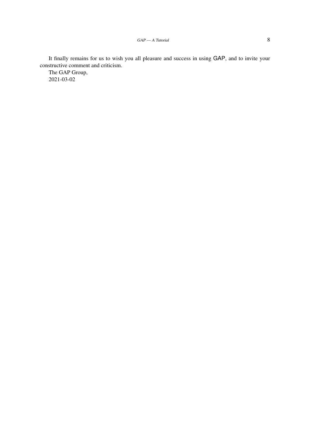It finally remains for us to wish you all pleasure and success in using GAP, and to invite your constructive comment and criticism.

The GAP Group, 2021-03-02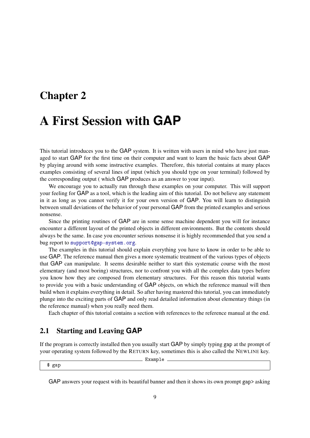### <span id="page-8-0"></span>Chapter 2

### A First Session with **GAP**

This tutorial introduces you to the GAP system. It is written with users in mind who have just managed to start GAP for the first time on their computer and want to learn the basic facts about GAP by playing around with some instructive examples. Therefore, this tutorial contains at many places examples consisting of several lines of input (which you should type on your terminal) followed by the corresponding output ( which GAP produces as an answer to your input).

We encourage you to actually run through these examples on your computer. This will support your feeling for GAP as a tool, which is the leading aim of this tutorial. Do not believe any statement in it as long as you cannot verify it for your own version of GAP. You will learn to distinguish between small deviations of the behavior of your personal GAP from the printed examples and serious nonsense.

Since the printing routines of GAP are in some sense machine dependent you will for instance encounter a different layout of the printed objects in different environments. But the contents should always be the same. In case you encounter serious nonsense it is highly recommended that you send a bug report to [support@gap-system.org](mailto://support@gap-system.org).

The examples in this tutorial should explain everything you have to know in order to be able to use GAP. The reference manual then gives a more systematic treatment of the various types of objects that GAP can manipulate. It seems desirable neither to start this systematic course with the most elementary (and most boring) structures, nor to confront you with all the complex data types before you know how they are composed from elementary structures. For this reason this tutorial wants to provide you with a basic understanding of GAP objects, on which the reference manual will then build when it explains everything in detail. So after having mastered this tutorial, you can immediately plunge into the exciting parts of GAP and only read detailed information about elementary things (in the reference manual) when you really need them.

Each chapter of this tutorial contains a section with references to the reference manual at the end.

#### <span id="page-8-1"></span>2.1 Starting and Leaving **GAP**

If the program is correctly installed then you usually start GAP by simply typing gap at the prompt of your operating system followed by the RETURN key, sometimes this is also called the NEWLINE key.

\_ Example .

\$ gap

GAP answers your request with its beautiful banner and then it shows its own prompt gap> asking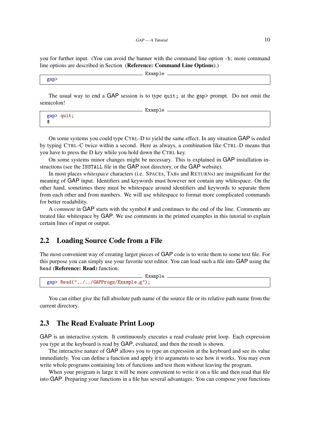you for further input. (You can avoid the banner with the command line option -b; more command line options are described in Section (Reference: Command Line Options).)

```
- Example
gap>
```
The usual way to end a GAP session is to type quit; at the gap> prompt. Do not omit the semicolon! Example

|   |            | --------- |  |
|---|------------|-----------|--|
|   | gap> quit; |           |  |
|   |            |           |  |
| æ |            |           |  |
| æ |            |           |  |
|   |            |           |  |

On some systems you could type CTRL-D to yield the same effect. In any situation GAP is ended by typing CTRL-C twice within a second. Here as always, a combination like CTRL-D means that you have to press the D key while you hold down the CTRL key.

On some systems minor changes might be necessary. This is explained in GAP installation instructions (see the INSTALL file in the GAP root directory, or the GAP website).

In most places *whitespace* characters (i.e. SPACEs, TABs and RETURNs) are insignificant for the meaning of GAP input. Identifiers and keywords must however not contain any whitespace. On the other hand, sometimes there must be whitespace around identifiers and keywords to separate them from each other and from numbers. We will use whitespace to format more complicated commands for better readability.

A *comment* in GAP starts with the symbol # and continues to the end of the line. Comments are treated like whitespace by GAP. We use comments in the printed examples in this tutorial to explain certain lines of input or output.

#### <span id="page-9-0"></span>2.2 Loading Source Code from a File

The most convenient way of creating larger pieces of GAP code is to write them to some text file. For this purpose you can simply use your favorite text editor. You can load such a file into GAP using the Read (Reference: Read) function:

```
Example
gap> Read("../../GAPProgs/Example.g");
```
You can either give the full absolute path name of the source file or its relative path name from the current directory.

#### <span id="page-9-1"></span>2.3 The Read Evaluate Print Loop

GAP is an interactive system. It continuously executes a read evaluate print loop. Each expression you type at the keyboard is read by GAP, evaluated, and then the result is shown.

The interactive nature of GAP allows you to type an expression at the keyboard and see its value immediately. You can define a function and apply it to arguments to see how it works. You may even write whole programs containing lots of functions and test them without leaving the program.

When your program is large it will be more convenient to write it on a file and then read that file into GAP. Preparing your functions in a file has several advantages. You can compose your functions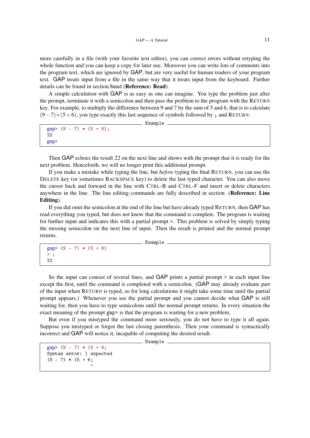more carefully in a file (with your favorite text editor), you can correct errors without retyping the whole function and you can keep a copy for later use. Moreover you can write lots of comments into the program text, which are ignored by GAP, but are very useful for human readers of your program text. GAP treats input from a file in the same way that it treats input from the keyboard. Further details can be found in section Read (Reference: Read).

A simple calculation with GAP is as easy as one can imagine. You type the problem just after the prompt, terminate it with a semicolon and then pass the problem to the program with the RETURN key. For example, to multiply the difference between 9 and 7 by the sum of 5 and 6, that is to calculate  $(9-7)$   $*(5+6)$ , you type exactly this last sequence of symbols followed by; and RETURN.

```
gap > (9 - 7) * (5 + 6);
22
gap>
```
\_\_ Example \_

Then GAP echoes the result 22 on the next line and shows with the prompt that it is ready for the next problem. Henceforth, we will no longer print this additional prompt.

If you make a mistake while typing the line, but *before* typing the final RETURN, you can use the DELETE key (or sometimes BACKSPACE key) to delete the last typed character. You can also move the cursor back and forward in the line with CTRL-B and CTRL-F and insert or delete characters anywhere in the line. The line editing commands are fully described in section (Reference: Line Editing).

If you did omit the semicolon at the end of the line but have already typed RETURN, then GAP has read everything you typed, but does not know that the command is complete. The program is waiting for further input and indicates this with a partial prompt >. This problem is solved by simply typing the missing semicolon on the next line of input. Then the result is printed and the normal prompt returns.

Example \_

```
gap > (9 - 7) * (5 + 6)>;
22
```
So the input can consist of several lines, and GAP prints a partial prompt  $\ge$  in each input line except the first, until the command is completed with a semicolon. (GAP may already evaluate part of the input when RETURN is typed, so for long calculations it might take some time until the partial prompt appears.) Whenever you see the partial prompt and you cannot decide what GAP is still waiting for, then you have to type semicolons until the normal prompt returns. In every situation the exact meaning of the prompt gap> is that the program is waiting for a new problem.

But even if you mistyped the command more seriously, you do not have to type it all again. Suppose you mistyped or forgot the last closing parenthesis. Then your command is syntactically incorrect and GAP will notice it, incapable of computing the desired result.

<u>\_\_</u>\_\_ Example \_

```
gap > (9 - 7) * (5 + 6;Syntax error: ) expected
(9 - 7) * (5 + 6;\hat{ }
```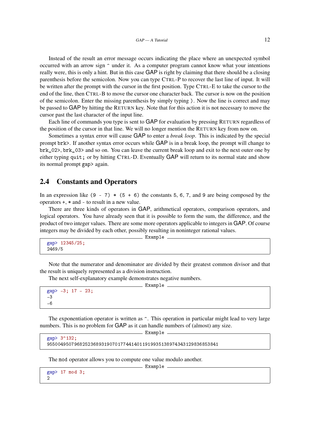Instead of the result an error message occurs indicating the place where an unexpected symbol occurred with an arrow sign ^ under it. As a computer program cannot know what your intentions really were, this is only a hint. But in this case GAP is right by claiming that there should be a closing parenthesis before the semicolon. Now you can type CTRL-P to recover the last line of input. It will be written after the prompt with the cursor in the first position. Type CTRL-E to take the cursor to the end of the line, then CTRL-B to move the cursor one character back. The cursor is now on the position of the semicolon. Enter the missing parenthesis by simply typing ). Now the line is correct and may be passed to GAP by hitting the RETURN key. Note that for this action it is not necessary to move the cursor past the last character of the input line.

Each line of commands you type is sent to GAP for evaluation by pressing RETURN regardless of the position of the cursor in that line. We will no longer mention the RETURN key from now on.

Sometimes a syntax error will cause GAP to enter a *break loop*. This is indicated by the special prompt brk>. If another syntax error occurs while GAP is in a break loop, the prompt will change to brk\_02>, brk\_03> and so on. You can leave the current break loop and exit to the next outer one by either typing quit; or by hitting CTRL-D. Eventually GAP will return to its normal state and show its normal prompt gap> again.

#### <span id="page-11-0"></span>2.4 Constants and Operators

In an expression like  $(9 - 7) * (5 + 6)$  the constants 5, 6, 7, and 9 are being composed by the operators +, \* and - to result in a new value.

There are three kinds of operators in GAP, arithmetical operators, comparison operators, and logical operators. You have already seen that it is possible to form the sum, the difference, and the product of two integer values. There are some more operators applicable to integers in GAP. Of course integers may be divided by each other, possibly resulting in noninteger rational values.

 $=$  Example  $=$ 

gap> 12345/25; 2469/5

Note that the numerator and denominator are divided by their greatest common divisor and that the result is uniquely represented as a division instruction.

- Example

The next self-explanatory example demonstrates negative numbers.

```
gap> -3; 17 - 23;
-3
-6
```
The exponentiation operator is written as  $\hat{ }$ . This operation in particular might lead to very large numbers. This is no problem for GAP as it can handle numbers of (almost) any size.

Example

```
gap> 3^132;
955004950796825236893190701774414011919935138974343129836853841
```
The mod operator allows you to compute one value modulo another.

```
gap> 17 mod 3;
\mathcal{D}
```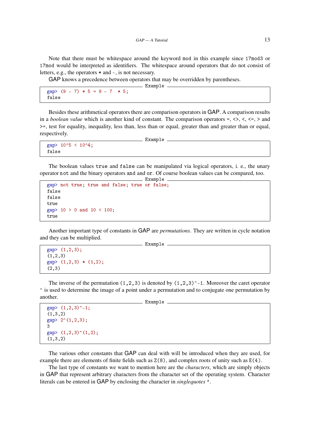Note that there must be whitespace around the keyword mod in this example since 17mod3 or 17mod would be interpreted as identifiers. The whitespace around operators that do not consist of letters, e.g., the operators \* and -, is not necessary.

Example

GAP knows a precedence between operators that may be overridden by parentheses.

 $gap > (9 - 7) * 5 = 9 - 7 * 5$ : false

Besides these arithmetical operators there are comparison operators in GAP. A comparison results in a *boolean value* which is another kind of constant. The comparison operators =,  $\langle \rangle$ ,  $\langle$ ,  $\langle$ =,  $\rangle$  and >=, test for equality, inequality, less than, less than or equal, greater than and greater than or equal, respectively.

Example.

```
gap> 10^5 < 10^4;
false
```
The boolean values true and false can be manipulated via logical operators, i. e., the unary operator not and the binary operators and and or. Of course boolean values can be compared, too. Example

```
gap> not true; true and false; true or false;
false
false
true
gap > 10 > 0 and 10 < 100;
true
```
Another important type of constants in GAP are *permutations*. They are written in cycle notation and they can be multiplied. \_ Example \_

```
gap> (1,2,3);
(1,2,3)gap> (1,2,3) * (1,2);
(2,3)
```
The inverse of the permutation  $(1,2,3)$  is denoted by  $(1,2,3)\hat{ }$ -1. Moreover the caret operator ^ is used to determine the image of a point under a permutation and to conjugate one permutation by another.

```
Example <sub>-</sub>
```

```
gap> (1,2,3) \hat{-1};
(1,3,2)gap> 2^*(1,2,3);
3
gap>(1,2,3)<sup>\hat{}(1,2);</sup>
(1,3,2)
```
The various other constants that GAP can deal with will be introduced when they are used, for example there are elements of finite fields such as  $Z(8)$ , and complex roots of unity such as  $E(4)$ .

The last type of constants we want to mention here are the *characters*, which are simply objects in GAP that represent arbitrary characters from the character set of the operating system. Character literals can be entered in GAP by enclosing the character in *singlequotes* '.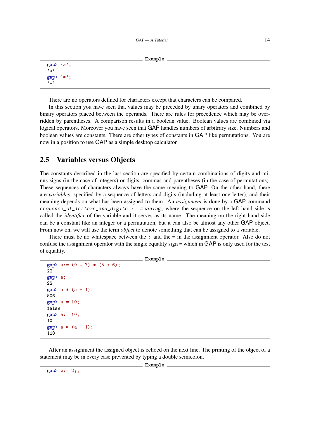```
Example
```

```
gap> 'a';
'a'
gap> '*';
'*'
```
There are no operators defined for characters except that characters can be compared.

In this section you have seen that values may be preceded by unary operators and combined by binary operators placed between the operands. There are rules for precedence which may be overridden by parentheses. A comparison results in a boolean value. Boolean values are combined via logical operators. Moreover you have seen that GAP handles numbers of arbitrary size. Numbers and boolean values are constants. There are other types of constants in GAP like permutations. You are now in a position to use GAP as a simple desktop calculator.

#### <span id="page-13-0"></span>2.5 Variables versus Objects

The constants described in the last section are specified by certain combinations of digits and minus signs (in the case of integers) or digits, commas and parentheses (in the case of permutations). These sequences of characters always have the same meaning to GAP. On the other hand, there are *variables*, specified by a sequence of letters and digits (including at least one letter), and their meaning depends on what has been assigned to them. An *assignment* is done by a GAP command sequence\_of\_letters\_and\_digits := meaning, where the sequence on the left hand side is called the *identifier* of the variable and it serves as its name. The meaning on the right hand side can be a constant like an integer or a permutation, but it can also be almost any other GAP object. From now on, we will use the term *object* to denote something that can be assigned to a variable.

There must be no whitespace between the : and the = in the assignment operator. Also do not confuse the assignment operator with the single equality sign = which in GAP is only used for the test of equality.

```
Example
```

```
gap > a := (9 - 7) * (5 + 6):22
gap> a;
22
gap a * (a + 1);
506
gap a = 10;
false
gap> a:= 10;
10
gap a * (a + 1);
110
```
After an assignment the assigned object is echoed on the next line. The printing of the object of a statement may be in every case prevented by typing a double semicolon.

 $gap > w := 2;$ ;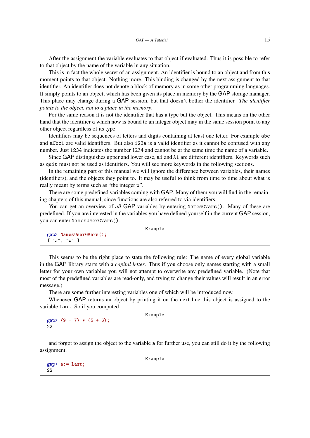After the assignment the variable evaluates to that object if evaluated. Thus it is possible to refer to that object by the name of the variable in any situation.

This is in fact the whole secret of an assignment. An identifier is bound to an object and from this moment points to that object. Nothing more. This binding is changed by the next assignment to that identifier. An identifier does not denote a block of memory as in some other programming languages. It simply points to an object, which has been given its place in memory by the GAP storage manager. This place may change during a GAP session, but that doesn't bother the identifier. *The identifier points to the object, not to a place in the memory.*

For the same reason it is not the identifier that has a type but the object. This means on the other hand that the identifier a which now is bound to an integer object may in the same session point to any other object regardless of its type.

Identifiers may be sequences of letters and digits containing at least one letter. For example abc and a0bc1 are valid identifiers. But also 123a is a valid identifier as it cannot be confused with any number. Just 1234 indicates the number 1234 and cannot be at the same time the name of a variable.

Since GAP distinguishes upper and lower case, a1 and A1 are different identifiers. Keywords such as quit must not be used as identifiers. You will see more keywords in the following sections.

In the remaining part of this manual we will ignore the difference between variables, their names (identifiers), and the objects they point to. It may be useful to think from time to time about what is really meant by terms such as "the integer w".

There are some predefined variables coming with GAP. Many of them you will find in the remaining chapters of this manual, since functions are also referred to via identifiers.

You can get an overview of *all* GAP variables by entering NamesGVars(). Many of these are predefined. If you are interested in the variables you have defined yourself in the current GAP session, you can enter NamesUserGVars().

```
- Example -gap> NamesUserGVars();
[ "a", "w" ]
```
This seems to be the right place to state the following rule: The name of every global variable in the GAP library starts with a *capital letter*. Thus if you choose only names starting with a small letter for your own variables you will not attempt to overwrite any predefined variable. (Note that most of the predefined variables are read-only, and trying to change their values will result in an error message.)

There are some further interesting variables one of which will be introduced now.

Whenever GAP returns an object by printing it on the next line this object is assigned to the variable last. So if you computed

 $\_$  Example  $\_$ 

```
gap > (9 - 7) * (5 + 6);22
```
and forgot to assign the object to the variable a for further use, you can still do it by the following assignment.

Example -

```
gap> a:= last;
22
```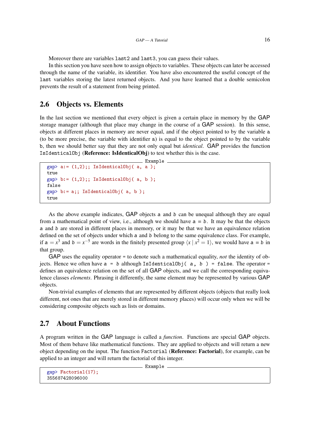Moreover there are variables last2 and last3, you can guess their values.

In this section you have seen how to assign objects to variables. These objects can later be accessed through the name of the variable, its identifier. You have also encountered the useful concept of the last variables storing the latest returned objects. And you have learned that a double semicolon prevents the result of a statement from being printed.

#### <span id="page-15-0"></span>2.6 Objects vs. Elements

In the last section we mentioned that every object is given a certain place in memory by the GAP storage manager (although that place may change in the course of a GAP session). In this sense, objects at different places in memory are never equal, and if the object pointed to by the variable a (to be more precise, the variable with identifier a) is equal to the object pointed to by the variable b, then we should better say that they are not only equal but *identical*. GAP provides the function IsIdenticalObj (Reference: IsIdenticalObj) to test whether this is the case.

```
- Example
gap > a := (1,2);; IsIdenticalObj(a, a);
true
gap > b := (1,2);; IsIdenticalObj(a, b);
false
gap> b:= a;; IsIdenticalObj( a, b );
true
```
As the above example indicates, GAP objects a and b can be unequal although they are equal from a mathematical point of view, i.e., although we should have  $a = b$ . It may be that the objects a and b are stored in different places in memory, or it may be that we have an equivalence relation defined on the set of objects under which a and b belong to the same equivalence class. For example, if  $a = x^3$  and  $b = x^{-5}$  are words in the finitely presented group  $\langle x | x^2 = 1 \rangle$ , we would have  $a = b$  in that group.

GAP uses the equality operator = to denote such a mathematical equality, *not* the identity of objects. Hence we often have  $a = b$  although IsIdenticalObj( a, b) = false. The operator = defines an equivalence relation on the set of all GAP objects, and we call the corresponding equivalence classes *elements*. Phrasing it differently, the same element may be represented by various GAP objects.

Non-trivial examples of elements that are represented by different objects (objects that really look different, not ones that are merely stored in different memory places) will occur only when we will be considering composite objects such as lists or domains.

#### <span id="page-15-1"></span>2.7 About Functions

A program written in the GAP language is called a *function*. Functions are special GAP objects. Most of them behave like mathematical functions. They are applied to objects and will return a new object depending on the input. The function Factorial (Reference: Factorial), for example, can be applied to an integer and will return the factorial of this integer.

```
Example
```

```
gap> Factorial(17);
355687428096000
```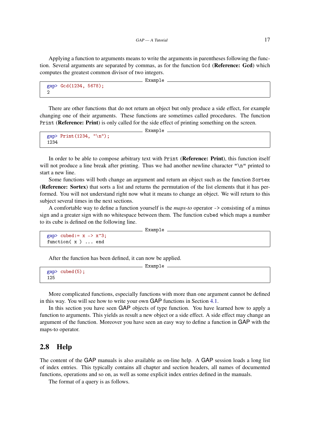Applying a function to arguments means to write the arguments in parentheses following the function. Several arguments are separated by commas, as for the function Gcd (Reference: Gcd) which computes the greatest common divisor of two integers.

 $\_$  Example  $\_$ 

```
gap> Gcd(1234, 5678);
2
```
There are other functions that do not return an object but only produce a side effect, for example changing one of their arguments. These functions are sometimes called procedures. The function Print (Reference: Print) is only called for the side effect of printing something on the screen.

```
____ Example _
gap> Print(1234, "\n");
1234
```
In order to be able to compose arbitrary text with Print (Reference: Print), this function itself will not produce a line break after printing. Thus we had another newline character " $\ln$ " printed to start a new line.

Some functions will both change an argument and return an object such as the function Sortex (Reference: Sortex) that sorts a list and returns the permutation of the list elements that it has performed. You will not understand right now what it means to change an object. We will return to this subject several times in the next sections.

A comfortable way to define a function yourself is the *maps-to* operator -> consisting of a minus sign and a greater sign with no whitespace between them. The function cubed which maps a number to its cube is defined on the following line.

```
\equiv Example \equiv
```

```
gap cubed: = x -> x^3;
function( x ) ... end
```
After the function has been defined, it can now be applied.

```
__ Example _
gap> cubed(5);
125
```
More complicated functions, especially functions with more than one argument cannot be defined in this way. You will see how to write your own GAP functions in Section [4.1.](#page-33-1)

In this section you have seen GAP objects of type function. You have learned how to apply a function to arguments. This yields as result a new object or a side effect. A side effect may change an argument of the function. Moreover you have seen an easy way to define a function in GAP with the maps-to operator.

#### <span id="page-16-0"></span>2.8 Help

The content of the GAP manuals is also available as on-line help. A GAP session loads a long list of index entries. This typically contains all chapter and section headers, all names of documented functions, operations and so on, as well as some explicit index entries defined in the manuals.

The format of a query is as follows.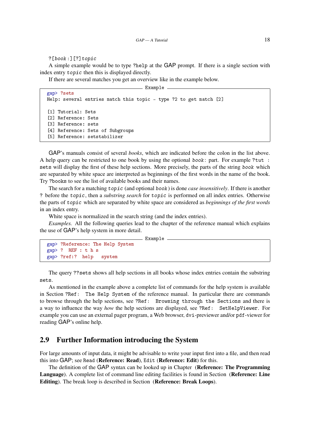?[book:][?]topic

A simple example would be to type ?help at the GAP prompt. If there is a single section with index entry topic then this is displayed directly.

If there are several matches you get an overview like in the example below.

\_ Example .

```
gap> ?sets
Help: several entries match this topic - type ?2 to get match [2]
[1] Tutorial: Sets
[2] Reference: Sets
[3] Reference: sets
[4] Reference: Sets of Subgroups
[5] Reference: setstabilizer
```
GAP's manuals consist of several *books*, which are indicated before the colon in the list above. A help query can be restricted to one book by using the optional book: part. For example ?tut : sets will display the first of these help sections. More precisely, the parts of the string book which are separated by white space are interpreted as beginnings of the first words in the name of the book. Try ?books to see the list of available books and their names.

The search for a matching topic (and optional book) is done *case insensitively*. If there is another ? before the topic, then a *substring search* for topic is performed on all index entries. Otherwise the parts of topic which are separated by white space are considered as *beginnings of the first words* in an index entry.

White space is normalized in the search string (and the index entries).

*Examples.* All the following queries lead to the chapter of the reference manual which explains the use of GAP's help system in more detail.

```
Example
gap> ?Reference: The Help System
gap> ? REF : t h s
gap> ?ref:? help system
```
The query ??sets shows all help sections in all books whose index entries contain the substring sets.

As mentioned in the example above a complete list of commands for the help system is available in Section ?Ref: The Help System of the reference manual. In particular there are commands to browse through the help sections, see ?Ref: Browsing through the Sections and there is a way to influence the way *how* the help sections are displayed, see ?Ref: SetHelpViewer. For example you can use an external pager program, a Web browser, dvi-previewer and/or pdf-viewer for reading GAP's online help.

#### <span id="page-17-0"></span>2.9 Further Information introducing the System

For large amounts of input data, it might be advisable to write your input first into a file, and then read this into GAP; see Read (Reference: Read), Edit (Reference: Edit) for this.

The definition of the GAP syntax can be looked up in Chapter (Reference: The Programming Language). A complete list of command line editing facilities is found in Section (Reference: Line Editing). The break loop is described in Section (Reference: Break Loops).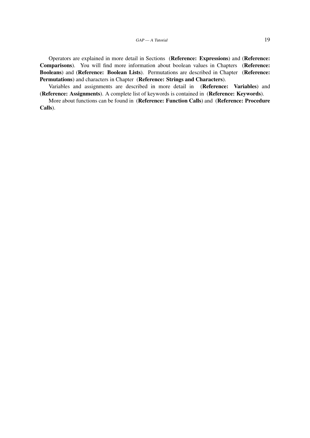Operators are explained in more detail in Sections (Reference: Expressions) and (Reference: Comparisons). You will find more information about boolean values in Chapters (Reference: Booleans) and (Reference: Boolean Lists). Permutations are described in Chapter (Reference: Permutations) and characters in Chapter (Reference: Strings and Characters).

Variables and assignments are described in more detail in (Reference: Variables) and (Reference: Assignments). A complete list of keywords is contained in (Reference: Keywords).

More about functions can be found in (Reference: Function Calls) and (Reference: Procedure Calls).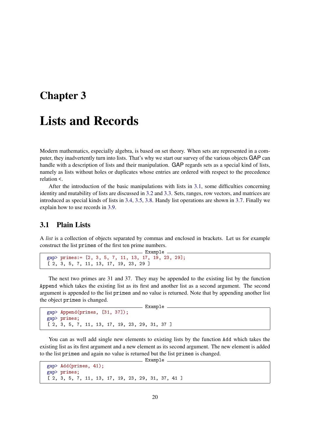### <span id="page-19-0"></span>Chapter 3

### Lists and Records

Modern mathematics, especially algebra, is based on set theory. When sets are represented in a computer, they inadvertently turn into lists. That's why we start our survey of the various objects GAP can handle with a description of lists and their manipulation. GAP regards sets as a special kind of lists, namely as lists without holes or duplicates whose entries are ordered with respect to the precedence relation <.

After the introduction of the basic manipulations with lists in [3.1,](#page-19-1) some difficulties concerning identity and mutability of lists are discussed in [3.2](#page-22-0) and [3.3.](#page-23-0) Sets, ranges, row vectors, and matrices are introduced as special kinds of lists in [3.4,](#page-24-0) [3.5,](#page-25-0) [3.8.](#page-29-0) Handy list operations are shown in [3.7.](#page-28-0) Finally we explain how to use records in [3.9.](#page-31-0)

#### <span id="page-19-1"></span>3.1 Plain Lists

A *list* is a collection of objects separated by commas and enclosed in brackets. Let us for example construct the list primes of the first ten prime numbers.

```
Example
gap> primes:= [2, 3, 5, 7, 11, 13, 17, 19, 23, 29];
[ 2, 3, 5, 7, 11, 13, 17, 19, 23, 29 ]
```
The next two primes are 31 and 37. They may be appended to the existing list by the function Append which takes the existing list as its first and another list as a second argument. The second argument is appended to the list primes and no value is returned. Note that by appending another list the object primes is changed.

Example

```
gap> Append(primes, [31, 37]);
gap> primes;
[ 2, 3, 5, 7, 11, 13, 17, 19, 23, 29, 31, 37 ]
```
You can as well add single new elements to existing lists by the function Add which takes the existing list as its first argument and a new element as its second argument. The new element is added to the list primes and again no value is returned but the list primes is changed.

```
Example
gap> Add(primes, 41);
gap> primes;
[ 2, 3, 5, 7, 11, 13, 17, 19, 23, 29, 31, 37, 41 ]
```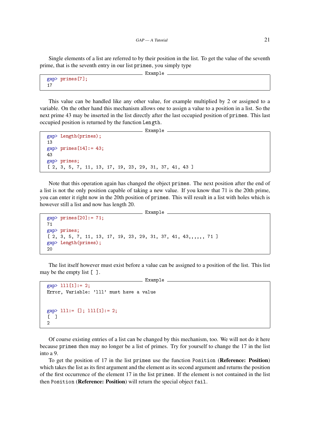Single elements of a list are referred to by their position in the list. To get the value of the seventh prime, that is the seventh entry in our list primes, you simply type

```
Example
```

```
gap> primes[7];
17
```
This value can be handled like any other value, for example multiplied by 2 or assigned to a variable. On the other hand this mechanism allows one to assign a value to a position in a list. So the next prime 43 may be inserted in the list directly after the last occupied position of primes. This last occupied position is returned by the function Length.

**Example** 

```
gap> Length(primes);
13
gap primes[14]:= 43;
43
gap> primes;
[ 2, 3, 5, 7, 11, 13, 17, 19, 23, 29, 31, 37, 41, 43 ]
```
Note that this operation again has changed the object primes. The next position after the end of a list is not the only position capable of taking a new value. If you know that 71 is the 20th prime, you can enter it right now in the 20th position of primes. This will result in a list with holes which is however still a list and now has length 20.

```
Example _
gap> primes[20]:= 71;
71
gap> primes;
[ 2, 3, 5, 7, 11, 13, 17, 19, 23, 29, 31, 37, 41, 43,,,,,, 71 ]
gap> Length(primes);
20
```
The list itself however must exist before a value can be assigned to a position of the list. This list may be the empty list [ ].

```
__ Example _
gap > 111[1]: = 2;Error, Variable: 'lll' must have a value
gap > 111 := []; 111[1] := 2;
\Gamma 1
\overline{2}
```
Of course existing entries of a list can be changed by this mechanism, too. We will not do it here because primes then may no longer be a list of primes. Try for yourself to change the 17 in the list into a 9.

To get the position of 17 in the list primes use the function Position (Reference: Position) which takes the list as its first argument and the element as its second argument and returns the position of the first occurrence of the element 17 in the list primes. If the element is not contained in the list then Position (Reference: Position) will return the special object fail.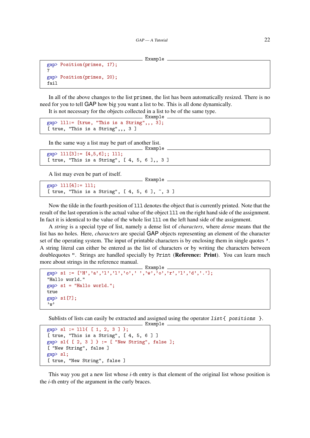```
Example
```

```
gap> Position(primes, 17);
7
gap> Position(primes, 20);
fail
```
In all of the above changes to the list primes, the list has been automatically resized. There is no need for you to tell GAP how big you want a list to be. This is all done dynamically.

 $-$  Example.

It is not necessary for the objects collected in a list to be of the same type.

```
Example
gap> lll:= [true, "This is a String",,, 3];
[ true, "This is a String",,, 3 ]
```
In the same way a list may be part of another list.

```
gap > 111[3] := [4,5,6];; 111;[ true, "This is a String", [ 4, 5, 6 ],, 3 ]
```
A list may even be part of itself.

```
gap> lll[4]:= lll;
[ true, "This is a String", [ 4, 5, 6 ], ~, 3 ]
```
Now the tilde in the fourth position of lll denotes the object that is currently printed. Note that the result of the last operation is the actual value of the object lll on the right hand side of the assignment. In fact it is identical to the value of the whole list lll on the left hand side of the assignment.

 $\_$  Example  $\_$ 

A *string* is a special type of list, namely a dense list of *characters*, where *dense* means that the list has no holes. Here, *characters* are special GAP objects representing an element of the character set of the operating system. The input of printable characters is by enclosing them in single quotes '. A string literal can either be entered as the list of characters or by writing the characters between doublequotes ". Strings are handled specially by Print (Reference: Print). You can learn much more about strings in the reference manual.

```
. Example.
gap> s1 := ['H','a','l','l','o',' ','w','o','r','l','d','.'];
"Hallo world."
gap > s1 = "Hallo world.";
true
gap> s1[7];
' w
```
Sublists of lists can easily be extracted and assigned using the operator  $list$  { positions }.

```
Example
gap > s1 := 111\{ [ 1, 2, 3 ] \};[ true, "This is a String", [ 4, 5, 6 ] ]
gap > s1{ [ 2, 3 ] } := [ "New String", false ];
[ "New String", false ]
gap> sl;
[ true, "New String", false ]
```
This way you get a new list whose *i*-th entry is that element of the original list whose position is the *i*-th entry of the argument in the curly braces.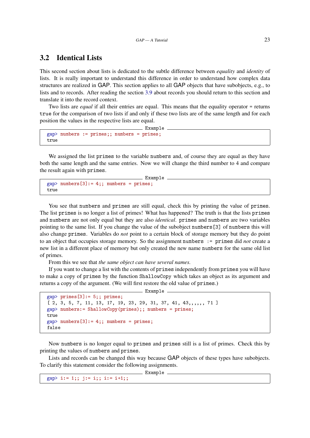#### <span id="page-22-0"></span>3.2 Identical Lists

This second section about lists is dedicated to the subtle difference between *equality* and *identity* of lists. It is really important to understand this difference in order to understand how complex data structures are realized in GAP. This section applies to all GAP objects that have subobjects, e.g., to lists and to records. After reading the section [3.9](#page-31-0) about records you should return to this section and translate it into the record context.

Two lists are *equal* if all their entries are equal. This means that the equality operator = returns true for the comparison of two lists if and only if these two lists are of the same length and for each position the values in the respective lists are equal.

Example

```
gap> numbers := primes;; numbers = primes;
true
```
We assigned the list primes to the variable numbers and, of course they are equal as they have both the same length and the same entries. Now we will change the third number to 4 and compare the result again with primes.

```
- Example -gap > numbers[3]: = 4;; numbers = primes;
true
```
You see that numbers and primes are still equal, check this by printing the value of primes. The list primes is no longer a list of primes! What has happened? The truth is that the lists primes and numbers are not only equal but they are also *identical*. primes and numbers are two variables pointing to the same list. If you change the value of the subobject numbers[3] of numbers this will also change primes. Variables do *not* point to a certain block of storage memory but they do point to an object that occupies storage memory. So the assignment numbers := primes did *not* create a new list in a different place of memory but only created the new name numbers for the same old list of primes.

From this we see that *the same object can have several names.*

If you want to change a list with the contents of primes independently from primes you will have to make a copy of primes by the function ShallowCopy which takes an object as its argument and returns a copy of the argument. (We will first restore the old value of primes.)

- Example

```
gap> primes[3]:= 5;; primes;
[ 2, 3, 5, 7, 11, 13, 17, 19, 23, 29, 31, 37, 41, 43,,,,,, 71 ]
gap> numbers:= ShallowCopy(primes);; numbers = primes;
true
gap > numbers[3]: = 4;; numbers = primes;
false
```
Now numbers is no longer equal to primes and primes still is a list of primes. Check this by printing the values of numbers and primes.

Lists and records can be changed this way because GAP objects of these types have subobjects. To clarify this statement consider the following assignments.

gap> i:= 1;; j:= i;; i:= i+1;;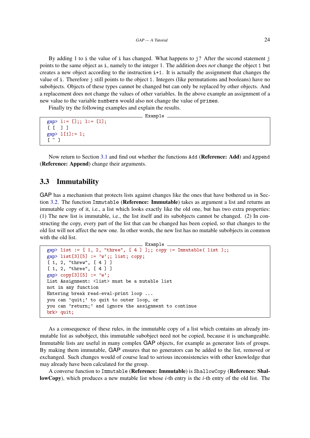By adding 1 to i the value of i has changed. What happens to  $j$ ? After the second statement j points to the same object as i, namely to the integer 1. The addition does *not* change the object 1 but creates a new object according to the instruction  $i+1$ . It is actually the assignment that changes the value of i. Therefore j still points to the object 1. Integers (like permutations and booleans) have no subobjects. Objects of these types cannot be changed but can only be replaced by other objects. And a replacement does not change the values of other variables. In the above example an assignment of a new value to the variable numbers would also not change the value of primes.

Example

Finally try the following examples and explain the results.

```
gap > 1 := [];; 1:= [1];
```

```
[ [ ] ]gap > 1[1]: = 1;\lceil \sim \rceil
```
Now return to Section [3.1](#page-19-1) and find out whether the functions Add (Reference: Add) and Append (Reference: Append) change their arguments.

#### <span id="page-23-0"></span>3.3 Immutability

GAP has a mechanism that protects lists against changes like the ones that have bothered us in Section [3.2.](#page-22-0) The function Immutable (Reference: Immutable) takes as argument a list and returns an immutable copy of it, i.e., a list which looks exactly like the old one, but has two extra properties: (1) The new list is immutable, i.e., the list itself and its subobjects cannot be changed. (2) In constructing the copy, every part of the list that can be changed has been copied, so that changes to the old list will not affect the new one. In other words, the new list has no mutable subobjects in common with the old list.

```
Example
gap> list := [1, 2, "three", [4] ];; copy := Immutable( list );;
gap> list[3][5] := 'w';; list; copy;
[ 1, 2, "threw", [ 4 ] ]
[ 1, 2, "three", [ 4 ] ]
gap> copy[3][5] := 'w';List Assignment: <list> must be a mutable list
not in any function
Entering break read-eval-print loop ...
you can 'quit;' to quit to outer loop, or
you can 'return;' and ignore the assignment to continue
brk> quit;
```
As a consequence of these rules, in the immutable copy of a list which contains an already immutable list as subobject, this immutable subobject need not be copied, because it is unchangeable. Immutable lists are useful in many complex GAP objects, for example as generator lists of groups. By making them immutable, GAP ensures that no generators can be added to the list, removed or exchanged. Such changes would of course lead to serious inconsistencies with other knowledge that may already have been calculated for the group.

A converse function to Immutable (Reference: Immutable) is ShallowCopy (Reference: ShallowCopy), which produces a new mutable list whose *i*-th entry is the *i*-th entry of the old list. The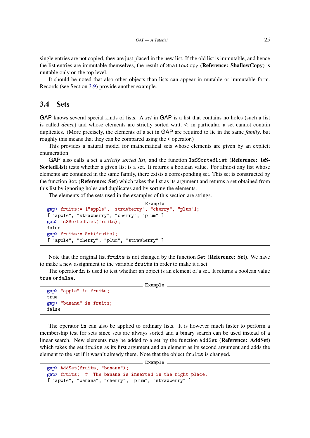single entries are not copied, they are just placed in the new list. If the old list is immutable, and hence the list entries are immutable themselves, the result of ShallowCopy (Reference: ShallowCopy) is mutable only on the top level.

It should be noted that also other objects than lists can appear in mutable or immutable form. Records (see Section [3.9\)](#page-31-0) provide another example.

#### <span id="page-24-0"></span>3.4 Sets

GAP knows several special kinds of lists. A *set* in GAP is a list that contains no holes (such a list is called *dense*) and whose elements are strictly sorted w.r.t.  $\lt$ ; in particular, a set cannot contain duplicates. (More precisely, the elements of a set in GAP are required to lie in the same *family*, but roughly this means that they can be compared using the < operator.)

This provides a natural model for mathematical sets whose elements are given by an explicit enumeration.

GAP also calls a set a *strictly sorted list*, and the function IsSSortedList (Reference: IsS-SortedList) tests whether a given list is a set. It returns a boolean value. For almost any list whose elements are contained in the same family, there exists a corresponding set. This set is constructed by the function Set (Reference: Set) which takes the list as its argument and returns a set obtained from this list by ignoring holes and duplicates and by sorting the elements.

The elements of the sets used in the examples of this section are strings.

```
Example
gap> fruits:= ["apple", "strawberry", "cherry", "plum"];
[ "apple", "strawberry", "cherry", "plum" ]
gap> IsSSortedList(fruits);
false
gap> fruits:= Set(fruits);
[ "apple", "cherry", "plum", "strawberry" ]
```
Note that the original list fruits is not changed by the function Set (Reference: Set). We have to make a new assignment to the variable fruits in order to make it a set.

The operator in is used to test whether an object is an element of a set. It returns a boolean value true or false. Example

```
gap> "apple" in fruits;
true
gap> "banana" in fruits;
false
```
The operator in can also be applied to ordinary lists. It is however much faster to perform a membership test for sets since sets are always sorted and a binary search can be used instead of a linear search. New elements may be added to a set by the function AddSet (Reference: AddSet) which takes the set fruits as its first argument and an element as its second argument and adds the element to the set if it wasn't already there. Note that the object fruits is changed.

```
gap> AddSet(fruits, "banana");
gap> fruits; # The banana is inserted in the right place.
[ "apple", "banana", "cherry", "plum", "strawberry" ]
```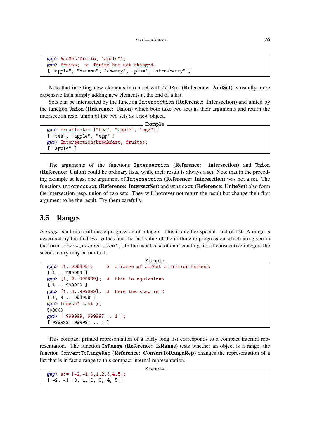```
gap> AddSet(fruits, "apple");
gap> fruits; # fruits has not changed.
[ "apple", "banana", "cherry", "plum", "strawberry" ]
```
Note that inserting new elements into a set with AddSet (Reference: AddSet) is usually more expensive than simply adding new elements at the end of a list.

Sets can be intersected by the function Intersection (Reference: Intersection) and united by the function Union (Reference: Union) which both take two sets as their arguments and return the intersection resp. union of the two sets as a new object.

```
Example
gap> breakfast:= ["tea", "apple", "egg"];
[ "tea", "apple", "egg" ]
gap> Intersection(breakfast, fruits);
[ "apple" ]
```
The arguments of the functions Intersection (Reference: Intersection) and Union (Reference: Union) could be ordinary lists, while their result is always a set. Note that in the preceding example at least one argument of Intersection (Reference: Intersection) was not a set. The functions IntersectSet (Reference: IntersectSet) and UniteSet (Reference: UniteSet) also form the intersection resp. union of two sets. They will however not return the result but change their first argument to be the result. Try them carefully.

#### <span id="page-25-0"></span>3.5 Ranges

A *range* is a finite arithmetic progression of integers. This is another special kind of list. A range is described by the first two values and the last value of the arithmetic progression which are given in the form  $[first,second..last]$ . In the usual case of an ascending list of consecutive integers the second entry may be omitted.

```
- Example -
gap> [1..999999]; # a range of almost a million numbers
[ 1 .. 999999 ]
gap> [1, 2..999999]; # this is equivalent
[ 1 .. 999999 ]
gap> [1, 3..999999]; # here the step is 2
[ 1, 3 .. 999999 ]
gap> Length( last );
500000
gap> [ 999999, 999997 .. 1 ];
[ 999999, 999997 .. 1 ]
```
This compact printed representation of a fairly long list corresponds to a compact internal representation. The function IsRange (Reference: IsRange) tests whether an object is a range, the function ConvertToRangeRep (Reference: ConvertToRangeRep) changes the representation of a list that is in fact a range to this compact internal representation.

```
gap > a := [-2,-1,0,1,2,3,4,5];
[-2, -1, 0, 1, 2, 3, 4, 5]
```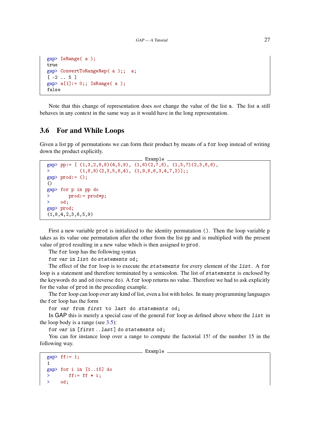```
gap> IsRange( a );
true
gap> ConvertToRangeRep( a );; a;
[-2 \ldots 5]gap> a[1]:= 0;; IsRange(a);
false
```
Note that this change of representation does *not* change the value of the list a. The list a still behaves in any context in the same way as it would have in the long representation.

#### <span id="page-26-0"></span>3.6 For and While Loops

Given a list pp of permutations we can form their product by means of a for loop instead of writing down the product explicitly.

```
Example
gap> pp:= [(1,3,2,6,8)(4,5,9), (1,6)(2,7,8), (1,5,7)(2,3,8,6),(1,8,9)(2,3,5,6,4), (1,9,8,6,3,4,7,2);
gap prod:= ();
()
gap> for p in pp do
> prod:= prod*p;
> od;
gap> prod;
(1,8,4,2,3,6,5,9)
```
First a new variable prod is initialized to the identity permutation (). Then the loop variable p takes as its value one permutation after the other from the list pp and is multiplied with the present value of prod resulting in a new value which is then assigned to prod.

The for loop has the following syntax

for var in list do statements od;

The effect of the for loop is to execute the statements for every element of the list. A for loop is a statement and therefore terminated by a semicolon. The list of statements is enclosed by the keywords do and od (reverse do). A for loop returns no value. Therefore we had to ask explicitly for the value of prod in the preceding example.

The for loop can loop over any kind of list, even a list with holes. In many programming languages the for loop has the form

for var from first to last do statements od;

In GAP this is merely a special case of the general for loop as defined above where the list in the loop body is a range (see [3.5\)](#page-25-0):

for var in [first..last] do statements od;

You can for instance loop over a range to compute the factorial 15! of the number 15 in the following way.

```
gap> ff := 1;
1
gap> for i in [1..15] do
> ff:= ff * i;> od;
```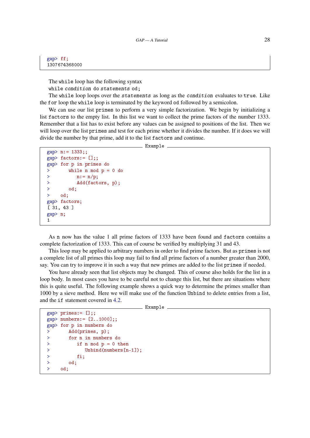gap> ff; 1307674368000

The while loop has the following syntax

while condition do statements od;

The while loop loops over the statements as long as the condition evaluates to true. Like the for loop the while loop is terminated by the keyword od followed by a semicolon.

We can use our list primes to perform a very simple factorization. We begin by initializing a list factors to the empty list. In this list we want to collect the prime factors of the number 1333. Remember that a list has to exist before any values can be assigned to positions of the list. Then we will loop over the list primes and test for each prime whether it divides the number. If it does we will divide the number by that prime, add it to the list factors and continue.

 $\equiv$  Example.

```
gap> n:= 1333;;
gap> factors:= [];;
gap> for p in primes do
> while n mod p = 0 do
> n:= n/p;> Add(factors, p);
> od;
> od;
gap> factors;
[ 31, 43 ]
gap> n;
1
```
As n now has the value 1 all prime factors of 1333 have been found and factors contains a complete factorization of 1333. This can of course be verified by multiplying 31 and 43.

This loop may be applied to arbitrary numbers in order to find prime factors. But as primes is not a complete list of all primes this loop may fail to find all prime factors of a number greater than 2000, say. You can try to improve it in such a way that new primes are added to the list primes if needed.

You have already seen that list objects may be changed. This of course also holds for the list in a loop body. In most cases you have to be careful not to change this list, but there are situations where this is quite useful. The following example shows a quick way to determine the primes smaller than 1000 by a sieve method. Here we will make use of the function Unbind to delete entries from a list, and the if statement covered in [4.2.](#page-34-0)

```
\_ Example \_
```

```
gap primes:= [];;
gap> numbers:= [2..1000];;
gap> for p in numbers do
> Add(primes, p);
> for n in numbers do
> if n mod p = 0 then
> Unbind(numbers[n-1]);
> fi;
> od;
> od;
```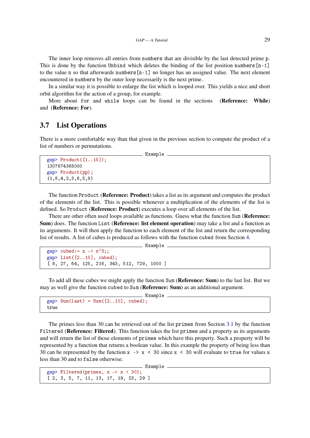The inner loop removes all entries from numbers that are divisible by the last detected prime p. This is done by the function Unbind which deletes the binding of the list position numbers  $[n-1]$ to the value n so that afterwards numbers  $[n-1]$  no longer has an assigned value. The next element encountered in numbers by the outer loop necessarily is the next prime.

In a similar way it is possible to enlarge the list which is looped over. This yields a nice and short orbit algorithm for the action of a group, for example.

More about for and while loops can be found in the sections (Reference: While) and (Reference: For).

#### <span id="page-28-0"></span>3.7 List Operations

There is a more comfortable way than that given in the previous section to compute the product of a list of numbers or permutations.

Example

```
gap> Product([1..15]);
1307674368000
gap> Product(pp);
(1,8,4,2,3,6,5,9)
```
The function Product (**Reference: Product**) takes a list as its argument and computes the product of the elements of the list. This is possible whenever a multiplication of the elements of the list is defined. So Product (Reference: Product) executes a loop over all elements of the list.

There are other often used loops available as functions. Guess what the function Sum (Reference: Sum) does. The function List (Reference: list element operation) may take a list and a function as its arguments. It will then apply the function to each element of the list and return the corresponding list of results. A list of cubes is produced as follows with the function cubed from Section [4.](#page-33-0)

```
- Example
gap cubed: = x -> x<sup>-3</sup>;;
gap> List([2..10], cubed);
[ 8, 27, 64, 125, 216, 343, 512, 729, 1000 ]
```
To add all these cubes we might apply the function Sum (Reference: Sum) to the last list. But we may as well give the function cubed to Sum (Reference: Sum) as an additional argument.

```
Example
gap > Sum(last) = Sum([2..10], cubed);true
```
The primes less than 30 can be retrieved out of the list primes from Section [3.1](#page-19-1) by the function Filtered (Reference: Filtered). This function takes the list primes and a property as its arguments and will return the list of those elements of primes which have this property. Such a property will be represented by a function that returns a boolean value. In this example the property of being less than 30 can be represented by the function  $x \rightarrow x < 30$  since  $x < 30$  will evaluate to true for values x less than 30 and to false otherwise.

```
- Example -
gap> Filtered(primes, x \rightarrow x < 30);
[ 2, 3, 5, 7, 11, 13, 17, 19, 23, 29 ]
```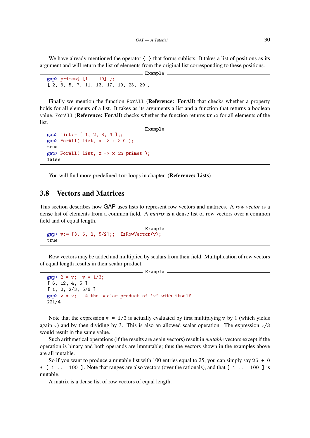We have already mentioned the operator  $\{\}$  that forms sublists. It takes a list of positions as its argument and will return the list of elements from the original list corresponding to these positions.  $\_$  Example  $\_$ 

```
gap> primes\{ [1.. 10] \};
[ 2, 3, 5, 7, 11, 13, 17, 19, 23, 29 ]
```
Finally we mention the function ForAll (Reference: ForAll) that checks whether a property holds for all elements of a list. It takes as its arguments a list and a function that returns a boolean value. ForAll (Reference: ForAll) checks whether the function returns true for all elements of the list.

```
- Example
gap> list:= [1, 2, 3, 4];;
gap> ForAll( list, x \rightarrow x > 0);
true
gap ForAll( list, x \rightarrow x in primes);
false
```
You will find more predefined for loops in chapter (Reference: Lists).

#### <span id="page-29-0"></span>3.8 Vectors and Matrices

This section describes how GAP uses lists to represent row vectors and matrices. A *row vector* is a dense list of elements from a common field. A *matrix* is a dense list of row vectors over a common field and of equal length.

```
Example
gap > v := [3, 6, 2, 5/2];; IsRowVector(v);
true
```
Row vectors may be added and multiplied by scalars from their field. Multiplication of row vectors of equal length results in their scalar product.

```
<u>____</u> Example _
gap> 2 * v; v * 1/3;
[ 6, 12, 4, 5 ]
[ 1, 2, 2/3, 5/6 ]
gap> v * v; # the scalar product of 'v' with itself
221/4
```
Note that the expression  $y * 1/3$  is actually evaluated by first multiplying y by 1 (which yields again v) and by then dividing by 3. This is also an allowed scalar operation. The expression  $v/3$ would result in the same value.

Such arithmetical operations (if the results are again vectors) result in *mutable* vectors except if the operation is binary and both operands are immutable; thus the vectors shown in the examples above are all mutable.

So if you want to produce a mutable list with 100 entries equal to 25, you can simply say  $25 + 0$  $\vert$  [ 1 .. 100 ]. Note that ranges are also vectors (over the rationals), and that  $\vert$  1 .. 100 ] is mutable.

A matrix is a dense list of row vectors of equal length.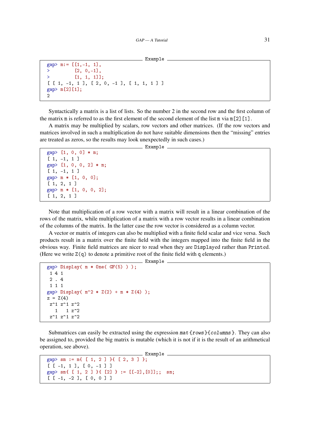```
_ Example
```

```
gap> m:= [\lceil 1,-1, 1 \rceil,> [2, 0, -1],> [1, 1, 1]];
[ [ 1, -1, 1 ], [ 2, 0, -1 ], [ 1, 1, 1 ] ]
gap > m[2][1];\overline{2}
```
Syntactically a matrix is a list of lists. So the number 2 in the second row and the first column of the matrix m is referred to as the first element of the second element of the list m via  $m[2]$ [1].

A matrix may be multiplied by scalars, row vectors and other matrices. (If the row vectors and matrices involved in such a multiplication do not have suitable dimensions then the "missing" entries are treated as zeros, so the results may look unexpectedly in such cases.)

```
Example
```

```
gap> [1, 0, 0] * m;
[1, -1, 1]gap> [1, 0, 0, 2] * m;
[1, -1, 1]gap> m * [1, 0, 0];
[ 1, 2, 1 ]
gap> m * [1, 0, 0, 2];
[ 1, 2, 1 ]
```
Note that multiplication of a row vector with a matrix will result in a linear combination of the rows of the matrix, while multiplication of a matrix with a row vector results in a linear combination of the columns of the matrix. In the latter case the row vector is considered as a column vector.

A vector or matrix of integers can also be multiplied with a finite field scalar and vice versa. Such products result in a matrix over the finite field with the integers mapped into the finite field in the obvious way. Finite field matrices are nicer to read when they are Displayed rather than Printed. (Here we write  $Z(q)$  to denote a primitive root of the finite field with q elements.)

Example

```
gap Display( m * One (GF(5)) );
 1 4 1
 2 . 4
 1 1 1
gap> Display( m^2 * Z(2) + m * Z(4) );
z = Z(4)z^1 z^1 z^2
  1 \t 1 \t z^2z^1 z^1 z^2
```
Submatrices can easily be extracted using the expression mat { $rows$ }{columns}. They can also be assigned to, provided the big matrix is mutable (which it is not if it is the result of an arithmetical operation, see above).

```
- Example.
gap> sm := m{ [ 1, 2 ] }{ [ 2, 3 ] };
[ [ [-1, 1], [0, -1]]]gap> sm{ [ 1, 2 ] }{ [2] } := [[-2],[0]];; sm;
[ [ -1, -2 ], [ 0, 0 ] ]
```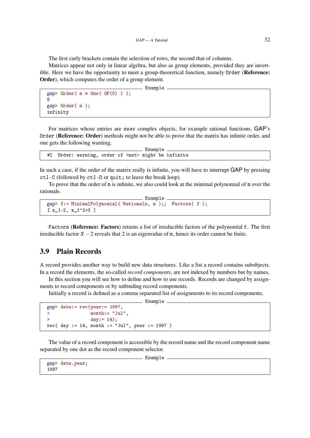The first curly brackets contain the selection of rows, the second that of columns.

Matrices appear not only in linear algebra, but also as group elements, provided they are invertible. Here we have the opportunity to meet a group-theoretical function, namely Order (Reference: Order), which computes the order of a group element.

Example

```
gap > Order( m * One( GF(5) ));
8
gap> Order( m );
infinity
```
For matrices whose entries are more complex objects, for example rational functions, GAP's Order (Reference: Order) methods might not be able to prove that the matrix has infinite order, and one gets the following warning.

```
Example
#I Order: warning, order of <mat> might be infinite
```
In such a case, if the order of the matrix really is infinite, you will have to interrupt GAP by pressing ctl-C (followed by ctl-D or quit; to leave the break loop).

To prove that the order of m is infinite, we also could look at the minimal polynomial of m over the rationals.

```
Example
gap> f:= MinimalPolynomial( Rationals, m );; Factors( f );
[x_1-2, x_1^2-2+3]
```
Factors (Reference: Factors) returns a list of irreducible factors of the polynomial f. The first irreducible factor  $X - 2$  reveals that 2 is an eigenvalue of m, hence its order cannot be finite.

#### <span id="page-31-0"></span>3.9 Plain Records

A record provides another way to build new data structures. Like a list a record contains subobjects. In a record the elements, the so-called *record components*, are not indexed by numbers but by names.

In this section you will see how to define and how to use records. Records are changed by assignments to record components or by unbinding record components.

Initially a record is defined as a comma separated list of assignments to its record components.

```
__ Example _
gap> date:= rec(year:= 1997,
> month:= "Jul",
> day:= 14);
rec( day := 14, month := "Jul", year := 1997 )
```
The value of a record component is accessible by the record name and the record component name separated by one dot as the record component selector.

\_ Example \_

```
gap> date.year;
1997
```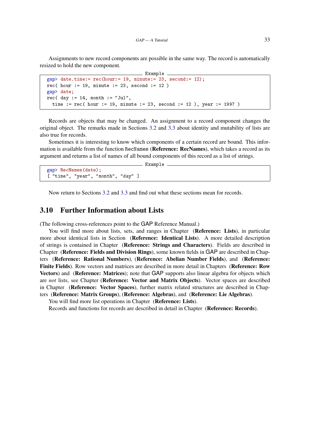Assignments to new record components are possible in the same way. The record is automatically resized to hold the new component.

```
- Example -
gap> date.time:= rec(hour:= 19, minute:= 23, second:= 12);
rec( hour := 19, minute := 23, second := 12)
gap> date;
rec( day := 14, month := "Jul",
  time := rec( hour := 19, minute := 23, second := 12 ), year := 1997 )
```
Records are objects that may be changed. An assignment to a record component changes the original object. The remarks made in Sections [3.2](#page-22-0) and [3.3](#page-23-0) about identity and mutability of lists are also true for records.

Sometimes it is interesting to know which components of a certain record are bound. This information is available from the function RecNames (Reference: RecNames), which takes a record as its argument and returns a list of names of all bound components of this record as a list of strings.

- Example

gap> RecNames(date); [ "time", "year", "month", "day" ]

Now return to Sections [3.2](#page-22-0) and [3.3](#page-23-0) and find out what these sections mean for records.

#### <span id="page-32-0"></span>3.10 Further Information about Lists

(The following cross-references point to the GAP Reference Manual.)

You will find more about lists, sets, and ranges in Chapter (**Reference: Lists**), in particular more about identical lists in Section (Reference: Identical Lists). A more detailed description of strings is contained in Chapter (Reference: Strings and Characters). Fields are described in Chapter (Reference: Fields and Division Rings), some known fields in GAP are described in Chapters (Reference: Rational Numbers), (Reference: Abelian Number Fields), and (Reference: Finite Fields). Row vectors and matrices are described in more detail in Chapters (Reference: Row Vectors) and (Reference: Matrices); note that GAP supports also linear algebra for objects which are *not* lists, see Chapter (Reference: Vector and Matrix Objects). Vector spaces are described in Chapter (Reference: Vector Spaces), further matrix related structures are described in Chapters (Reference: Matrix Groups), (Reference: Algebras), and (Reference: Lie Algebras).

You will find more list operations in Chapter (Reference: Lists).

Records and functions for records are described in detail in Chapter (Reference: Records).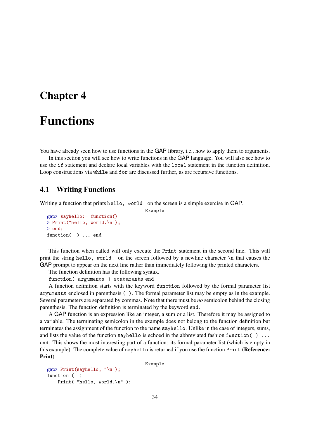### <span id="page-33-0"></span>Chapter 4

### Functions

You have already seen how to use functions in the GAP library, i.e., how to apply them to arguments.

In this section you will see how to write functions in the GAP language. You will also see how to use the if statement and declare local variables with the local statement in the function definition. Loop constructions via while and for are discussed further, as are recursive functions.

 $\_$  Example

#### <span id="page-33-1"></span>4.1 Writing Functions

Writing a function that prints hello, world. on the screen is a simple exercise in GAP.

```
gap> sayhello:= function()
> Print("hello, world.\n");
> end;
function( ) ... end
```
This function when called will only execute the Print statement in the second line. This will print the string hello, world. on the screen followed by a newline character \n that causes the GAP prompt to appear on the next line rather than immediately following the printed characters.

The function definition has the following syntax.

function( arguments ) statements end

A function definition starts with the keyword function followed by the formal parameter list arguments enclosed in parenthesis ( ). The formal parameter list may be empty as in the example. Several parameters are separated by commas. Note that there must be *no* semicolon behind the closing parenthesis. The function definition is terminated by the keyword end.

A GAP function is an expression like an integer, a sum or a list. Therefore it may be assigned to a variable. The terminating semicolon in the example does not belong to the function definition but terminates the assignment of the function to the name sayhello. Unlike in the case of integers, sums, and lists the value of the function sayhello is echoed in the abbreviated fashion function  $( )$ ... end. This shows the most interesting part of a function: its formal parameter list (which is empty in this example). The complete value of sayhello is returned if you use the function Print (Reference: Print).

```
gap> Print(sayhello, "\n");
function ( )
   Print( "hello, world.\n" );
```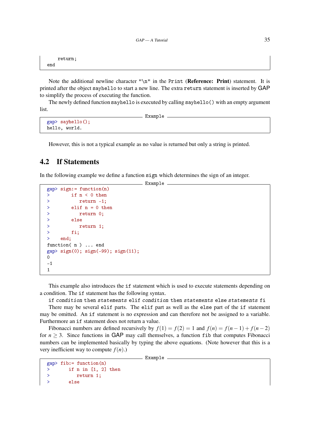```
return;
end
```
Note the additional newline character " $\ln$ " in the Print (**Reference: Print**) statement. It is printed after the object sayhello to start a new line. The extra return statement is inserted by GAP to simplify the process of executing the function.

The newly defined function sayhello is executed by calling sayhello() with an empty argument list.

```
- Example
gap> sayhello();
hello, world.
```
However, this is not a typical example as no value is returned but only a string is printed.

#### <span id="page-34-0"></span>4.2 If Statements

In the following example we define a function sign which determines the sign of an integer.

\_\_ Example \_

```
gap> sign:= function(n)
> if n < 0 then
> return -1;
> elif n = 0 then
> return 0;
> else
> return 1;
> fi;
> end;
function(n) ... end
gap> sign(0); sign(-99); sign(11);
\Omega-1
1
```
This example also introduces the if statement which is used to execute statements depending on a condition. The if statement has the following syntax.

if condition then statements elif condition then statements else statements fi

There may be several elif parts. The elif part as well as the else part of the if statement may be omitted. An if statement is no expression and can therefore not be assigned to a variable. Furthermore an if statement does not return a value.

Fibonacci numbers are defined recursively by  $f(1) = f(2) = 1$  and  $f(n) = f(n-1) + f(n-2)$ for  $n \geq 3$ . Since functions in GAP may call themselves, a function fib that computes Fibonacci numbers can be implemented basically by typing the above equations. (Note however that this is a very inefficient way to compute  $f(n)$ .)

```
gap> fib:= function(n)
> if n in [1, 2] then
> return 1;
> else
```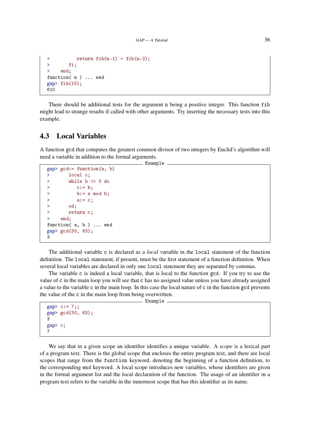```
> return fib(n-1) + fib(n-2);
> fi;
> end;
function(n) ... end
gap fib(15);
610
```
There should be additional tests for the argument n being a positive integer. This function fib might lead to strange results if called with other arguments. Try inserting the necessary tests into this example.

#### <span id="page-35-0"></span>4.3 Local Variables

A function gcd that computes the greatest common divisor of two integers by Euclid's algorithm will need a variable in addition to the formal arguments. Example

```
gap> gcd:= function(a, b)
> local c;
> while b <> 0 do
> c:= b;> b:= a mod b;
> a:= c;
> od;
> return c;
> end;
function(a, b) ... end
gap> gcd(30, 63);
3
```
The additional variable c is declared as a *local* variable in the local statement of the function definition. The local statement, if present, must be the first statement of a function definition. When several local variables are declared in only one local statement they are separated by commas.

The variable c is indeed a local variable, that is local to the function gcd. If you try to use the value of c in the main loop you will see that c has no assigned value unless you have already assigned a value to the variable c in the main loop. In this case the local nature of c in the function gcd prevents the value of the c in the main loop from being overwritten.

Example

```
gap> c:= 7;;
gap> gcd(30, 63);
3
gap> c;
7
```
We say that in a given scope an identifier identifies a unique variable. A *scope* is a lexical part of a program text. There is the global scope that encloses the entire program text, and there are local scopes that range from the function keyword, denoting the beginning of a function definition, to the corresponding end keyword. A local scope introduces new variables, whose identifiers are given in the formal argument list and the local declaration of the function. The usage of an identifier in a program text refers to the variable in the innermost scope that has this identifier as its name.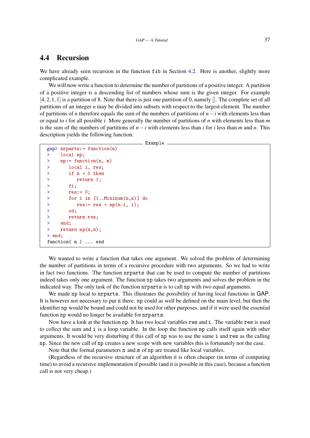### 4.4 Recursion

We have already seen recursion in the function fib in Section [4.2.](#page-34-0) Here is another, slightly more complicated example.

We will now write a function to determine the number of partitions of a positive integer. A partition of a positive integer is a descending list of numbers whose sum is the given integer. For example  $[4,2,1,1]$  is a partition of 8. Note that there is just one partition of 0, namely  $[]$ . The complete set of all partitions of an integer *n* may be divided into subsets with respect to the largest element. The number of partitions of *n* therefore equals the sum of the numbers of partitions of *n*−*i* with elements less than or equal to *i* for all possible *i*. More generally the number of partitions of *n* with elements less than *m* is the sum of the numbers of partitions of *n*−*i* with elements less than *i* for *i* less than *m* and *n*. This description yields the following function.

```
___ Example _
gap> nrparts:= function(n)
> local np;
> np:= function(n, m)
> local i, res;
> if n = 0 then
> return 1;
> fi;
> res:= 0;
> for i in [1..Minimum(n,m)] do
> res:= res + np(n-i, i);> od;
> return res;
> end;
> return np(n,n);
> end;
function( n ) ... end
```
We wanted to write a function that takes one argument. We solved the problem of determining the number of partitions in terms of a recursive procedure with two arguments. So we had to write in fact two functions. The function nrparts that can be used to compute the number of partitions indeed takes only one argument. The function np takes two arguments and solves the problem in the indicated way. The only task of the function nrparts is to call np with two equal arguments.

We made np local to nrparts. This illustrates the possibility of having local functions in GAP. It is however not necessary to put it there. np could as well be defined on the main level, but then the identifier np would be bound and could not be used for other purposes, and if it were used the essential function np would no longer be available for nrparts.

Now have a look at the function np. It has two local variables res and i. The variable res is used to collect the sum and i is a loop variable. In the loop the function np calls itself again with other arguments. It would be very disturbing if this call of np was to use the same i and res as the calling np. Since the new call of np creates a new scope with new variables this is fortunately not the case.

Note that the formal parameters n and m of np are treated like local variables.

(Regardless of the recursive structure of an algorithm it is often cheaper (in terms of computing time) to avoid a recursive implementation if possible (and it is possible in this case), because a function call is not very cheap.)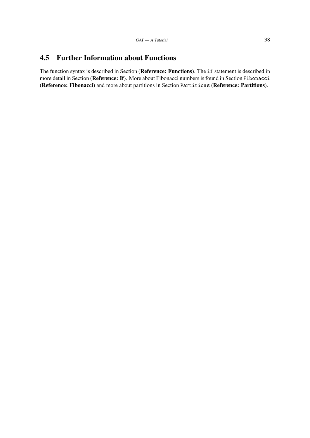### 4.5 Further Information about Functions

The function syntax is described in Section (Reference: Functions). The if statement is described in more detail in Section (Reference: If). More about Fibonacci numbers is found in Section Fibonacci (Reference: Fibonacci) and more about partitions in Section Partitions (Reference: Partitions).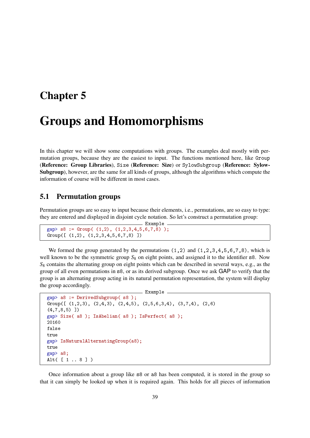## <span id="page-38-0"></span>Chapter 5

# Groups and Homomorphisms

In this chapter we will show some computations with groups. The examples deal mostly with permutation groups, because they are the easiest to input. The functions mentioned here, like Group (Reference: Group Libraries), Size (Reference: Size) or SylowSubgroup (Reference: Sylow-Subgroup), however, are the same for all kinds of groups, although the algorithms which compute the information of course will be different in most cases.

#### <span id="page-38-1"></span>5.1 Permutation groups

Permutation groups are so easy to input because their elements, i.e., permutations, are so easy to type: they are entered and displayed in disjoint cycle notation. So let's construct a permutation group:

```
Example
gap> s8 := Group( (1,2), (1,2,3,4,5,6,7,8) );
Group([ (1,2), (1,2,3,4,5,6,7,8) ])
```
We formed the group generated by the permutations  $(1,2)$  and  $(1,2,3,4,5,6,7,8)$ , which is well known to be the symmetric group  $S_8$  on eight points, and assigned it to the identifier  $\sigma$  s8. Now *S*<sup>8</sup> contains the alternating group on eight points which can be described in several ways, e.g., as the group of all even permutations in s8, or as its derived subgroup. Once we ask GAP to verify that the group is an alternating group acting in its natural permutation representation, the system will display the group accordingly.

Example

```
gap> a8 := DerivedSubgroup( s8 );
Group([ (1,2,3), (2,4,3), (2,4,5), (2,5,6,3,4), (3,7,4), (2,6)(4,7,8,5) ])
gap> Size( a8 ); IsAbelian( a8 ); IsPerfect( a8 );
20160
false
true
gap> IsNaturalAlternatingGroup(a8);
true
gap> a8;
Alt( [ 1 .. 8 ] )
```
Once information about a group like s8 or a8 has been computed, it is stored in the group so that it can simply be looked up when it is required again. This holds for all pieces of information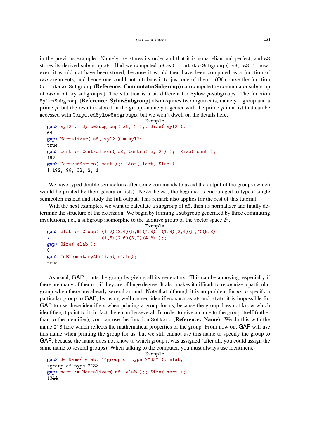in the previous example. Namely, a8 stores its order and that it is nonabelian and perfect, and s8 stores its derived subgroup a8. Had we computed a8 as CommutatorSubgroup( s8, s8 ), however, it would not have been stored, because it would then have been computed as a function of *two* arguments, and hence one could not attribute it to just one of them. (Of course the function CommutatorSubgroup (Reference: CommutatorSubgroup) can compute the commutator subgroup of *two* arbitrary subgroups.) The situation is a bit different for Sylow *p*-subgroups: The function SylowSubgroup (Reference: SylowSubgroup) also requires two arguments, namely a group and a prime *p*, but the result is stored in the group –namely together with the prime *p* in a list that can be accessed with ComputedSylowSubgroups, but we won't dwell on the details here.

```
Example
gap> syl2 := SylowSubgroup( a8, 2 );; Size( syl2 );
64
gap> Normalizer( a8, syl2 ) = syl2;
true
gap> cent := Centralizer( a8, Centre( syl2 ) );; Size( cent );
192
gap> DerivedSeries( cent );; List( last, Size );
[ 192, 96, 32, 2, 1 ]
```
We have typed double semicolons after some commands to avoid the output of the groups (which would be printed by their generator lists). Nevertheless, the beginner is encouraged to type a single semicolon instead and study the full output. This remark also applies for the rest of this tutorial.

With the next examples, we want to calculate a subgroup of  $a_0$  as, then its normalizer and finally determine the structure of the extension. We begin by forming a subgroup generated by three commuting involutions, i.e., a subgroup isomorphic to the additive group of the vector space  $2<sup>3</sup>$ .

```
Example
\text{gap} > \text{elab} := \text{Group}([1,2)(3,4)(5,6)(7,8), (1,3)(2,4)(5,7)(6,8),(1,5)(2,6)(3,7)(4,8);;
gap> Size( elab );
8
gap> IsElementaryAbelian( elab );
true
```
As usual, GAP prints the group by giving all its generators. This can be annoying, especially if there are many of them or if they are of huge degree. It also makes it difficult to recognize a particular group when there are already several around. Note that although it is no problem for *us* to specify a particular group to GAP, by using well-chosen identifiers such as a8 and elab, it is impossible for GAP to use these identifiers when printing a group for us, because the group does not know which identifier(s) point to it, in fact there can be several. In order to give a name to the group itself (rather than to the identifier), you can use the function SetName (Reference: Name). We do this with the name 2<sup> $-$ 3</sup> here which reflects the mathematical properties of the group. From now on, GAP will use this name when printing the group for us, but we still cannot use this name to specify the group to GAP, because the name does not know to which group it was assigned (after all, you could assign the same name to several groups). When talking to the computer, you must always use identifiers.

```
\equiv Example \equivgap> SetName( elab, "<group of type 2^3>" ); elab;
<group of type 2^3>
gap> norm := Normalizer( a8, elab );; Size( norm );
1344
```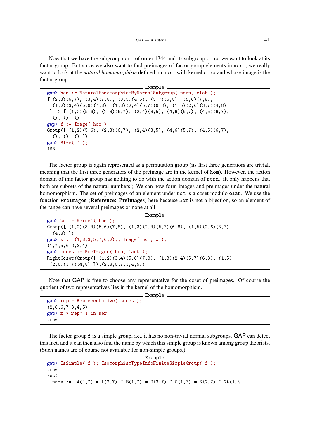Now that we have the subgroup norm of order 1344 and its subgroup elab, we want to look at its factor group. But since we also want to find preimages of factor group elements in norm, we really want to look at the *natural homomorphism* defined on norm with kernel elab and whose image is the factor group.

```
Example
gap> hom := NaturalHomomorphismByNormalSubgroup( norm, elab );
[(2,3)(6,7), (3,4)(7,8), (3,5)(4,6), (5,7)(6,8), (5,6)(7,8),(1,2)(3,4)(5,6)(7,8), (1,3)(2,4)(5,7)(6,8), (1,5)(2,6)(3,7)(4,8)]\rightarrow [ (1,2)(5,6), (2,3)(6,7), (2,4)(3,5), (4,6)(5,7), (4,5)(6,7),
  (0, 0, 0)gap > f := Image( hom );
Group([(1,2)(5,6), (2,3)(6,7), (2,4)(3,5), (4,6)(5,7), (4,5)(6,7),(0, (), ()]gap> Size( f );
168
```
The factor group is again represented as a permutation group (its first three generators are trivial, meaning that the first three generators of the preimage are in the kernel of hom). However, the action domain of this factor group has nothing to do with the action domain of norm. (It only happens that both are subsets of the natural numbers.) We can now form images and preimages under the natural homomorphism. The set of preimages of an element under hom is a coset modulo elab. We use the function PreImages (Reference: PreImages) here because hom is not a bijection, so an element of the range can have several preimages or none at all.

- Example -

```
gap> ker:= Kernel( hom );
Group([(1,2)(3,4)(5,6)(7,8), (1,3)(2,4)(5,7)(6,8), (1,5)(2,6)(3,7)](4,8) ])
gap > x := (1,8,3,5,7,6,2);; Image( hom, x);
(1,7,5,6,2,3,4)
gap> coset := PreImages( hom, last );
RightCoset(Group([ (1,2)(3,4)(5,6)(7,8), (1,3)(2,4)(5,7)(6,8), (1,5)
 (2,6)(3,7)(4,8) ]),(2,8,6,7,3,4,5))
```
Note that GAP is free to choose any representative for the coset of preimages. Of course the quotient of two representatives lies in the kernel of the homomorphism.

Example

```
gap> rep:= Representative( coset );
(2,8,6,7,3,4,5)
gap> x * rep^-1 in ker;
true
```
The factor group f is a simple group, i.e., it has no non-trivial normal subgroups. GAP can detect this fact, and it can then also find the name by which this simple group is known among group theorists. (Such names are of course not available for non-simple groups.)

Example

```
gap> IsSimple( f ); IsomorphismTypeInfoFiniteSimpleGroup( f );
true
rec(
  name := 'A(1,7) = L(2,7) \sim B(1,7) = D(3,7) \sim C(1,7) = S(2,7) \sim 2A(1,\)
```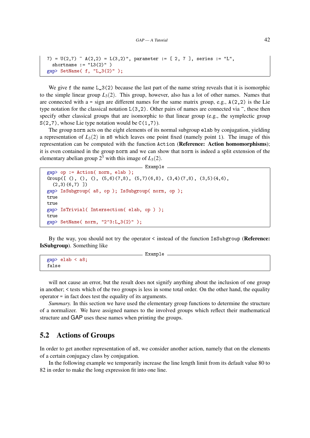```
7) = U(2,7) \sim A(2,2) = L(3,2)", parameter := [ 2, 7 ], series := "L",
  shortname := "L3(2)" )
gap> SetName( f, "L_3(2)" );
```
We give f the name  $L_3(2)$  because the last part of the name string reveals that it is isomorphic to the simple linear group  $L_3(2)$ . This group, however, also has a lot of other names. Names that are connected with a = sign are different names for the same matrix group, e.g.,  $A(2,2)$  is the Lie type notation for the classical notation  $L(3,2)$ . Other pairs of names are connected via  $\tilde{\ }$ , these then specify other classical groups that are isomorphic to that linear group (e.g., the symplectic group  $S(2,7)$ , whose Lie type notation would be  $C(1,7)$ ).

The group norm acts on the eight elements of its normal subgroup elab by conjugation, yielding a representation of  $L_3(2)$  in s8 which leaves one point fixed (namely point 1). The image of this representation can be computed with the function Action (Reference: Action homomorphisms); it is even contained in the group norm and we can show that norm is indeed a split extension of the elementary abelian group  $2^3$  with this image of  $L_3(2)$ .

```
__ Example _
gap> op := Action( norm, elab );
Group([ (), ( ), ( ), ( 5, 6)(7, 8), (5, 7)(6, 8), (3, 4)(7, 8), (3, 5)(4, 6),(2,3)(6,7)]
gap> IsSubgroup( a8, op ); IsSubgroup( norm, op );
true
true
gap> IsTrivial( Intersection( elab, op ) );
true
gap> SetName( norm, "2^3:L_3(2)" );
```
By the way, you should not try the operator < instead of the function IsSubgroup (Reference: IsSubgroup). Something like

```
Example
gap> elab < a8;
false
```
will not cause an error, but the result does not signify anything about the inclusion of one group in another; < tests which of the two groups is less in some total order. On the other hand, the equality operator = in fact does test the equality of its arguments.

*Summary.* In this section we have used the elementary group functions to determine the structure of a normalizer. We have assigned names to the involved groups which reflect their mathematical structure and GAP uses these names when printing the groups.

### <span id="page-41-0"></span>5.2 Actions of Groups

In order to get another representation of a8, we consider another action, namely that on the elements of a certain conjugacy class by conjugation.

In the following example we temporarily increase the line length limit from its default value 80 to 82 in order to make the long expression fit into one line.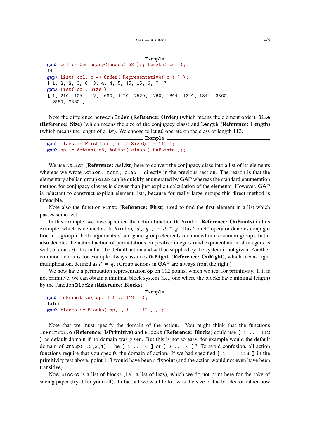```
Example
gap> ccl := ConjugacyClasses( a8 );; Length( ccl );
14
gap> List( ccl, c -> Order( Representative( c ) ) );
[ 1, 2, 2, 3, 6, 3, 4, 4, 5, 15, 15, 6, 7, 7 ]
gap> List( ccl, Size );
[ 1, 210, 105, 112, 1680, 1120, 2520, 1260, 1344, 1344, 1344, 3360,
  2880, 2880 ]
```
Note the difference between Order (Reference: Order) (which means the element order), Size (Reference: Size) (which means the size of the conjugacy class) and Length (Reference: Length) (which means the length of a list). We choose to let a8 operate on the class of length 112.

\_ Example \_

```
gap > class := First(ccl, c -> Size(c) = 112);gap> op := Action( a8, AsList( class ),OnPoints );;
```
We use AsList (Reference: AsList) here to convert the conjugacy class into a list of its elements whereas we wrote Action( norm, elab ) directly in the previous section. The reason is that the elementary abelian group elab can be quickly enumerated by GAP whereas the standard enumeration method for conjugacy classes is slower than just explicit calculation of the elements. However, GAP is reluctant to construct explicit element lists, because for really large groups this direct method is infeasible.

Note also the function First (Reference: First), used to find the first element in a list which passes some test.

In this example, we have specified the action function  $\text{OnPoints}$  (Reference: OnPoints) in this example, which is defined as  $OnPoints( d, g) = d \hat{g}$ . This "caret" operator denotes conjugation in a group if both arguments *d* and *g* are group elements (contained in a common group), but it also denotes the natural action of permutations on positive integers (and exponentiation of integers as well, of course). It is in fact the default action and will be supplied by the system if not given. Another common action is for example always assumes OnRight (Reference: OnRight), which means right multiplication, defined as  $d * g$ . (Group actions in GAP are always from the right.)

We now have a permutation representation op on 112 points, which we test for primitivity. If it is not primitive, we can obtain a minimal block system (i.e., one where the blocks have minimal length) by the function Blocks (Reference: Blocks).

Example

```
gap> IsPrimitive(op, [1.. 112]);
false
gap> blocks := Blocks( op, [ 1 .. 112 ] );;
```
Note that we must specify the domain of the action. You might think that the functions IsPrimitive (Reference: IsPrimitive) and Blocks (Reference: Blocks) could use [1... ] as default domain if no domain was given. But this is not so easy, for example would the default domain of Group(  $(2,3,4)$  ) be  $[1 \ldots 4]$  or  $[2 \ldots 4]$ ? To avoid confusion, all action functions require that you specify the domain of action. If we had specified  $\begin{bmatrix} 1 & \dots & 113 \end{bmatrix}$  in the primitivity test above, point 113 would have been a fixpoint (and the action would not even have been transitive).

Now blocks is a list of blocks (i.e., a list of lists), which we do not print here for the sake of saving paper (try it for yourself). In fact all we want to know is the size of the blocks, or rather how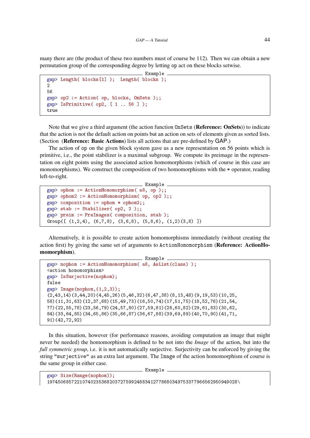many there are (the product of these two numbers must of course be 112). Then we can obtain a new permutation group of the corresponding degree by letting op act on these blocks setwise.

```
Example
gap> Length( blocks[1] ); Length( blocks );
\mathcal{D}56
gap> op2 := Action( op, blocks, OnSets );;
gap> IsPrimitive( op2, [ 1 .. 56 ] );
true
```
Note that we give a third argument (the action function OnSets (Reference: OnSets)) to indicate that the action is not the default action on points but an action on sets of elements given as sorted lists. (Section (Reference: Basic Actions) lists all actions that are pre-defined by GAP.)

The action of op on the given block system gave us a new representation on 56 points which is primitive, i.e., the point stabilizer is a maximal subgroup. We compute its preimage in the representation on eight points using the associated action homomorphisms (which of course in this case are monomorphisms). We construct the composition of two homomorphisms with the \* operator, reading left-to-right.

```
- Example -
gap> ophom := ActionHomomorphism( a8, op );;
gap> ophom2 := ActionHomomorphism( op, op2 );;
gap> composition := ophom * ophom2;;
gap> stab := Stabilizer( op2, 2 );;
gap> preim := PreImages( composition, stab );
Group([ (1,2,4), (6,7,8), (3,6,8), (5,8,6), (1,2)(3,8)])
```
Alternatively, it is possible to create action homomorphisms immediately (without creating the action first) by giving the same set of arguments to ActionHomomorphism (Reference: ActionHomomorphism).

```
Example
gap> nophom := ActionHomomorphism( a8, AsList(class) );
<action homomorphism>
gap> IsSurjective(nophom);
false
gap Image(nophom, (1,2,3));
(2,43,14)(3,44,20)(4,45,26)(5,46,32)(6,47,38)(8,13,48)(9,19,53)(10,25,58)(11,31,63)(12,37,68)(15,49,73)(16,50,74)(17,51,75)(18,52,76)(21,54,
77)(22,55,78)(23,56,79)(24,57,80)(27,59,81)(28,60,82)(29,61,83)(30,62,
84)(33,64,85)(34,65,86)(35,66,87)(36,67,88)(39,69,89)(40,70,90)(41,71,
91)(42,72,92)
```
In this situation, however (for performance reasons, avoiding computation an image that might never be needed) the homomorphism is defined to be not into the *Image* of the action, but into the *full symmetric group*, i.e. it is not automatically surjective. Surjectivity can be enforced by giving the string "surjective" as an extra last argument. The Image of the action homomorphism of course is the same group in either case.

```
\_ Example \_gap> Size(Range(nophom));
1974506857221074023536820372759924883412778680349753377966562950949028\
```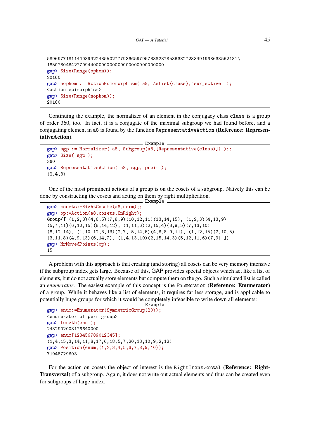```
5896977181144089422435502777936659795733823785363827233491968638562181\
1850780464277094400000000000000000000000000
gap> Size(Range(ophom));
20160
gap> nophom := ActionHomomorphism( a8, AsList(class),"surjective" );
<action epimorphism>
gap> Size(Range(nophom));
20160
```
Continuing the example, the normalizer of an element in the conjugacy class class is a group of order 360, too. In fact, it is a conjugate of the maximal subgroup we had found before, and a conjugating element in a8 is found by the function RepresentativeAction (Reference: RepresentativeAction).

```
Example
gap> sgp := Normalizer( a8, Subgroup(a8,[Representative(class)]) );;
gap> Size( sgp );
360
gap> RepresentativeAction( a8, sgp, preim );
(2, 4, 3)
```
One of the most prominent actions of a group is on the cosets of a subgroup. Naïvely this can be done by constructing the cosets and acting on them by right multiplication. Example

```
gap> cosets:=RightCosets(a8,norm);;
gap> op:=Action(a8,cosets,OnRight);
Group([(1,2,3)(4,6,5)(7,8,9)(10,12,11)(13,14,15), (1,2,3)(4,13,9)](5,7,11)(6,10,15)(8,14,12), (1,11,6)(2,15,4)(3,9,5)(7,13,10)(8,12,14), (1,10,12,3,13)(2,7,15,14,5)(4,6,8,9,11), (1,12,15)(2,10,5)(3,11,8)(4,9,13)(6,14,7), (1,4,13,10)(2,15,14,3)(5,12,11,6)(7,9)]
gap> NrMovedPoints(op);
15
```
A problem with this approach is that creating (and storing) all cosets can be very memory intensive if the subgroup index gets large. Because of this, GAP provides special objects which act like a list of elements, but do not actually store elements but compute them on the go. Such a simulated list is called an *enumerator*. The easiest example of this concept is the Enumerator (Reference: Enumerator) of a group. While it behaves like a list of elements, it requires far less storage, and is applicable to potentially huge groups for which it would be completely infeasible to write down all elements:

```
Example
```

```
gap> enum:=Enumerator(SymmetricGroup(20));
<enumerator of perm group>
gap> Length(enum);
2432902008176640000
gap> enum[123456789012345];
(1,4,15,3,14,11,8,17,6,18,5,7,20,13,10,9,2,12)
gap> Position(enum,(1,2,3,4,5,6,7,8,9,10));
71948729603
```
For the action on cosets the object of interest is the RightTransversal (Reference: Right-Transversal) of a subgroup. Again, it does not write out actual elements and thus can be created even for subgroups of large index.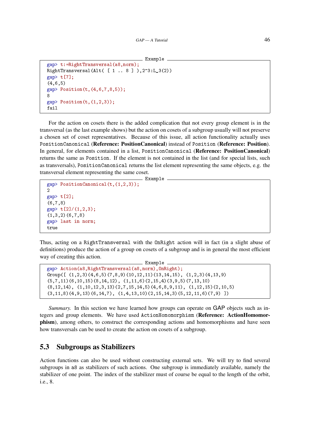```
Example
```

```
gap> t:=RightTransversal(a8,norm);
RightTransversal(Alt( [ 1 .. 8 ] ),2^3:L_3(2))
gap> t[7];
(4,6,5)
gap > Position(t, (4, 6, 7, 8, 5));8
gap Position(t, (1,2,3));
fail
```
For the action on cosets there is the added complication that not every group element is in the transversal (as the last example shows) but the action on cosets of a subgroup usually will not preserve a chosen set of coset representatives. Because of this issue, all action functionality actually uses PositionCanonical (Reference: PositionCanonical) instead of Position (Reference: Position). In general, for elements contained in a list, PositionCanonical (Reference: PositionCanonical) returns the same as Position. If the element is not contained in the list (and for special lists, such as transversals), PositionCanonical returns the list element representing the same objects, e.g. the transversal element representing the same coset.

Example

```
gap> PositionCanonical(t,(1,2,3));
\mathcal{D}gap> t[2];
(6,7,8)
gap> t[2]/(1,2,3);
(1,3,2)(6,7,8)gap> last in norm;
true
```
Thus, acting on a RightTransversal with the OnRight action will in fact (in a slight abuse of definitions) produce the action of a group on cosets of a subgroup and is in general the most efficient way of creating this action.

```
Example
gap> Action(a8,RightTransversal(a8,norm),OnRight);
Group([(1,2,3)(4,6,5)(7,8,9)(10,12,11)(13,14,15), (1,2,3)(4,13,9)](5,7,11)(6,10,15)(8,14,12), (1,11,6)(2,15,4)(3,9,5)(7,13,10)
(8,12,14), (1,10,12,3,13)(2,7,15,14,5)(4,6,8,9,11), (1,12,15)(2,10,5)(3,11,8)(4,9,13)(6,14,7), (1,4,13,10)(2,15,14,3)(5,12,11,6)(7,9)]
```
*Summary.* In this section we have learned how groups can operate on GAP objects such as integers and group elements. We have used ActionHomomorphism (Reference: ActionHomomorphism), among others, to construct the corresponding actions and homomorphisms and have seen how transversals can be used to create the action on cosets of a subgroup.

### 5.3 Subgroups as Stabilizers

Action functions can also be used without constructing external sets. We will try to find several subgroups in a8 as stabilizers of such actions. One subgroup is immediately available, namely the stabilizer of one point. The index of the stabilizer must of course be equal to the length of the orbit, i.e., 8.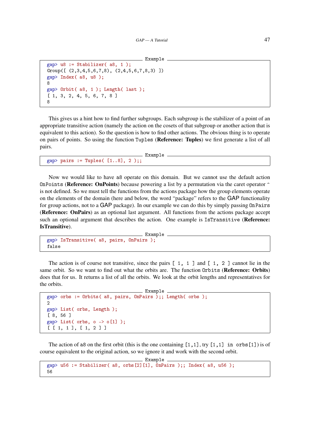Example

```
gap u8 := Stabilizer( a8, 1);
Group([ (2,3,4,5,6,7,8), (2,4,5,6,7,8,3) ])
gap> Index( a8, u8 );
gap> Orbit( a8, 1 ); Length( last );
[ 1, 3, 2, 4, 5, 6, 7, 8 ]
```
8

8

This gives us a hint how to find further subgroups. Each subgroup is the stabilizer of a point of an appropriate transitive action (namely the action on the cosets of that subgroup or another action that is equivalent to this action). So the question is how to find other actions. The obvious thing is to operate on pairs of points. So using the function Tuples (Reference: Tuples) we first generate a list of all pairs.

```
- Example -
gap > pairs := Tuples([1..8], 2);
```
Now we would like to have a8 operate on this domain. But we cannot use the default action OnPoints (Reference: OnPoints) because powering a list by a permutation via the caret operator  $\hat{ }$ is not defined. So we must tell the functions from the actions package how the group elements operate on the elements of the domain (here and below, the word "package" refers to the GAP functionality for group actions, not to a GAP package). In our example we can do this by simply passing OnPairs (Reference: OnPairs) as an optional last argument. All functions from the actions package accept such an optional argument that describes the action. One example is IsTransitive (Reference: IsTransitive).

```
Example
gap> IsTransitive( a8, pairs, OnPairs );
false
```
The action is of course not transitive, since the pairs  $[1, 1]$  and  $[1, 2]$  cannot lie in the same orbit. So we want to find out what the orbits are. The function Orbits (Reference: Orbits) does that for us. It returns a list of all the orbits. We look at the orbit lengths and representatives for the orbits.

```
\_ Example
gap> orbs := Orbits( a8, pairs, OnPairs );; Length( orbs );
\mathcal{L}gap> List( orbs, Length );
[ 8, 56 ]
gap> List( orbs, o -> o[1] );
[ [ 1, 1 ], [ 1, 2 ] ]
```
The action of a8 on the first orbit (this is the one containing  $[1,1]$ , try  $[1,1]$  in orbs  $[1]$ ) is of course equivalent to the original action, so we ignore it and work with the second orbit.

```
Example
gap> u56 := Stabilizer( a8, orbs[2][1], OnPairs );; Index( a8, u56 );
56
```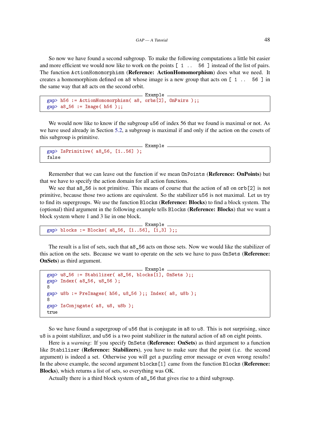So now we have found a second subgroup. To make the following computations a little bit easier and more efficient we would now like to work on the points [ 1 .. 56 ] instead of the list of pairs. The function ActionHomomorphism (Reference: ActionHomomorphism) does what we need. It creates a homomorphism defined on a8 whose image is a new group that acts on [ 1 .. 56 ] in the same way that a8 acts on the second orbit.

```
Example
gap> h56 := ActionHomomorphism( a8, orbs[2], OnPairs );;
gap> a8_56 := Image( h56 );;
```
We would now like to know if the subgroup u56 of index 56 that we found is maximal or not. As we have used already in Section [5.2,](#page-41-0) a subgroup is maximal if and only if the action on the cosets of this subgroup is primitive.

```
Example
gap> IsPrimitive(a856, [1..56]);
false
```
Remember that we can leave out the function if we mean OnPoints (Reference: OnPoints) but that we have to specify the action domain for all action functions.

We see that a8<sub>-</sub>56 is not primitive. This means of course that the action of a8 on orb[2] is not primitive, because those two actions are equivalent. So the stabilizer u56 is not maximal. Let us try to find its supergroups. We use the function Blocks (Reference: Blocks) to find a block system. The (optional) third argument in the following example tells Blocks (Reference: Blocks) that we want a block system where 1 and 3 lie in one block.

Example gap> blocks := Blocks( a8\_56, [1..56], [1,3] );;

The result is a list of sets, such that a8\_56 acts on those sets. Now we would like the stabilizer of this action on the sets. Because we want to operate on the sets we have to pass OnSets (Reference: OnSets) as third argument.

```
Example
gap> u8_56 := Stabilizer( a8_56, blocks[1], OnSets );;
gap> Index( a8_56, u8_56 );
8
gap> u8b := PreImages( h56, u8_56 );; Index( a8, u8b );
8
gap> IsConjugate( a8, u8, u8b );
true
```
So we have found a supergroup of u56 that is conjugate in a8 to u8. This is not surprising, since u8 is a point stabilizer, and u56 is a two point stabilizer in the natural action of a8 on eight points.

Here is a *warning*: If you specify OnSets (**Reference: OnSets**) as third argument to a function like Stabilizer (Reference: Stabilizers), you have to make sure that the point (i.e. the second argument) is indeed a set. Otherwise you will get a puzzling error message or even wrong results! In the above example, the second argument blocks[1] came from the function Blocks (Reference: Blocks), which returns a list of sets, so everything was OK.

Actually there is a third block system of a8\_56 that gives rise to a third subgroup.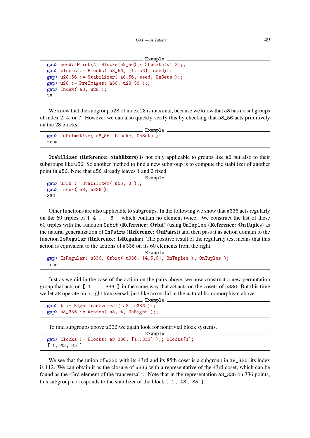```
_ Example .
gap> seed:=First(AllBlocks(a8_56),x->Length(x)=2);;
gap> blocks := Blocks( a8_56, [1..56], seed);;
gap u28_56 := Stabilizer( a8_56, seed, OnSets );;
gap> u28 := PreImages( h56, u28_56 );;
gap> Index( a8, u28 );
28
```
We know that the subgroup u28 of index 28 is maximal, because we know that a8 has no subgroups of index 2, 4, or 7. However we can also quickly verify this by checking that a8\_56 acts primitively on the 28 blocks.

```
Example
gap> IsPrimitive( a8 56, blocks, OnSets \overline{)}:
true
```
Stabilizer (Reference: Stabilizers) is not only applicable to groups like a8 but also to their subgroups like u56. So another method to find a new subgroup is to compute the stabilizer of another point in u56. Note that u56 already leaves 1 and 2 fixed.

Example

```
gap u336 := Stabilizer( u56, 3);;
gap> Index( a8, u336 );
336
```
Other functions are also applicable to subgroups. In the following we show that u336 acts regularly on the 60 triples of  $[4 \ldots 8]$  which contain no element twice. We construct the list of these 60 triples with the function Orbit (Reference: Orbit) (using OnTuples (Reference: OnTuples) as the natural generalization of OnPairs (Reference: OnPairs)) and then pass it as action domain to the function IsRegular (Reference: IsRegular). The positive result of the regularity test means that this action is equivalent to the actions of u336 on its 60 elements from the right.

Example

```
gap> IsRegular( u336, Orbit( u336, [4,5,6], OnTuples ), OnTuples );
true
```
Just as we did in the case of the action on the pairs above, we now construct a new permutation group that acts on [ 1 .. 336 ] in the same way that a8 acts on the cosets of u336. But this time we let a8 operate on a right transversal, just like norm did in the natural homomorphism above.

Example

```
gap> t := RightTransversal( a8, u336 );;
gap > a8_336 := Action(a8, t, OnRight);
```
To find subgroups above u336 we again look for nontrivial block systems.

```
. Example
gap> blocks := Blocks( a8_336, [1..336] );; blocks[1];
[ 1, 43, 85 ]
```
We see that the union of u336 with its 43rd and its 85th coset is a subgroup in a8 \_336, its index is 112. We can obtain it as the closure of u336 with a representative of the 43rd coset, which can be found as the 43rd element of the transversal t. Note that in the representation a8\_336 on 336 points, this subgroup corresponds to the stabilizer of the block [ 1, 43, 85 ].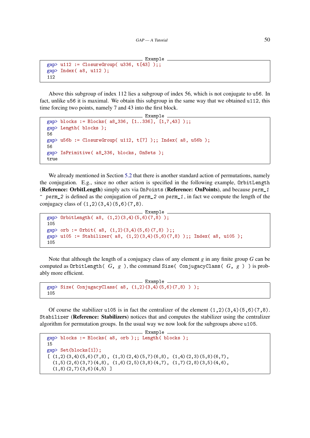```
Example
gap> u112 := ClosureGroup(u336, t[43]);;
gap> Index( a8, u112 );
112
```
Above this subgroup of index 112 lies a subgroup of index 56, which is not conjugate to u56. In fact, unlike u56 it is maximal. We obtain this subgroup in the same way that we obtained u112, this time forcing two points, namely 7 and 43 into the first block.

```
Example
gap> blocks := Blocks( a8_336, [1..336], [1,7,43] );;
gap> Length( blocks );
56
gap> u56b := ClosureGroup( u112, t[7] );; Index( a8, u56b );
56
gap> IsPrimitive( a8_336, blocks, OnSets );
true
```
We already mentioned in Section [5.2](#page-41-0) that there is another standard action of permutations, namely the conjugation. E.g., since no other action is specified in the following example, OrbitLength (Reference: OrbitLength) simply acts via OnPoints (Reference: OnPoints), and because perm\_1  $\hat{p}$  perm 2 is defined as the conjugation of perm 2 on perm 1, in fact we compute the length of the

conjugacy class of  $(1,2)(3,4)(5,6)(7,8)$ .

```
Example
gap> OrbitLength( a8, (1,2)(3,4)(5,6)(7,8) );
105
gap> orb := Orbit( a8, (1,2)(3,4)(5,6)(7,8) );;
gap> u105 := Stabilizer( a8, (1,2)(3,4)(5,6)(7,8) );; Index( a8, u105 );
105
```
Note that although the length of a conjugacy class of any element *g* in any finite group *G* can be computed as OrbitLength( *G*, *g* ), the command Size( ConjugacyClass( *G*, *g* ) ) is probably more efficient.

```
Example
gap> Size( ConjugacyClass( a8, (1,2)(3,4)(5,6)(7,8) ) );
105
```
Of course the stabilizer u105 is in fact the centralizer of the element  $(1,2)(3,4)(5,6)(7,8)$ . Stabilizer (Reference: Stabilizers) notices that and computes the stabilizer using the centralizer algorithm for permutation groups. In the usual way we now look for the subgroups above u105.

```
Example
gap> blocks := Blocks( a8, orb );; Length( blocks );
15
gap> Set(blocks[1]);
[(1,2)(3,4)(5,6)(7,8), (1,3)(2,4)(5,7)(6,8), (1,4)(2,3)(5,8)(6,7),(1,5)(2,6)(3,7)(4,8), (1,6)(2,5)(3,8)(4,7), (1,7)(2,8)(3,5)(4,6),(1,8)(2,7)(3,6)(4,5)]
```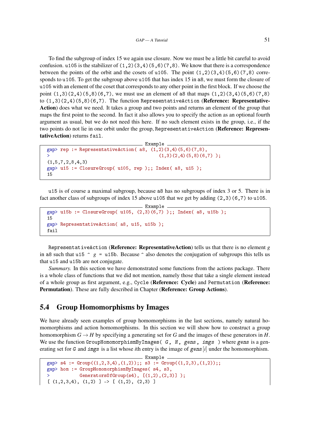To find the subgroup of index 15 we again use closure. Now we must be a little bit careful to avoid confusion. u105 is the stabilizer of  $(1,2)(3,4)(5,6)(7,8)$ . We know that there is a correspondence between the points of the orbit and the cosets of u105. The point  $(1,2)(3,4)(5,6)(7,8)$  corresponds to u105. To get the subgroup above u105 that has index 15 in a8, we must form the closure of u105 with an element of the coset that corresponds to any other point in the first block. If we choose the point  $(1,3)(2,4)(5,8)(6,7)$ , we must use an element of a8 that maps  $(1,2)(3,4)(5,6)(7,8)$ to  $(1,3)(2,4)(5,8)(6,7)$ . The function RepresentativeAction (**Reference: Representative-**Action) does what we need. It takes a group and two points and returns an element of the group that maps the first point to the second. In fact it also allows you to specify the action as an optional fourth argument as usual, but we do not need this here. If no such element exists in the group, i.e., if the two points do not lie in one orbit under the group, RepresentativeAction (Reference: RepresentativeAction) returns fail.

```
_ Example _
gap rep := RepresentativeAction( a8, (1,2)(3,4)(5,6)(7,8),
> (1,3)(2,4)(5,8)(6,7));
(1,5,7,2,8,4,3)gap u15 := ClosureGroup( u105, rep );; Index( a8, u15);
15
```
u15 is of course a maximal subgroup, because a8 has no subgroups of index 3 or 5. There is in fact another class of subgroups of index 15 above u105 that we get by adding (2,3)(6,7) to u105.

```
Example
gap> u15b := ClosureGroup( u105, (2,3)(6,7) );; Index( a8, u15b );
15
gap> RepresentativeAction( a8, u15, u15b );
fail
```
RepresentativeAction (Reference: RepresentativeAction) tells us that there is no element *g* in a8 such that u15  $\hat{p}$  = u15b. Because  $\hat{p}$  also denotes the conjugation of subgroups this tells us that u15 and u15b are not conjugate.

*Summary.* In this section we have demonstrated some functions from the actions package. There is a whole class of functions that we did not mention, namely those that take a single element instead of a whole group as first argument, e.g., Cycle (Reference: Cycle) and Permutation (Reference: Permutation). These are fully described in Chapter (Reference: Group Actions).

### 5.4 Group Homomorphisms by Images

We have already seen examples of group homomorphisms in the last sections, namely natural homomorphisms and action homomorphisms. In this section we will show how to construct a group homomorphism  $G \to H$  by specifying a generating set for *G* and the images of these generators in *H*. We use the function GroupHomomorphismByImages( G, H, gens, imgs) where gens is a generating set for G and imgs is a list whose *i*th entry is the image of gens[*i*] under the homomorphism.

```
Example
\text{gap} > s4 := \text{Group}((1,2,3,4),(1,2));; s3 := \text{Group}((1,2,3),(1,2));;
gap> hom := GroupHomomorphismByImages( s4, s3,
>
GeneratorsOfGroup(s4), [(1,2), (2,3)] );
[ (1,2,3,4), (1,2) ] \rightarrow [ (1,2), (2,3) ]
```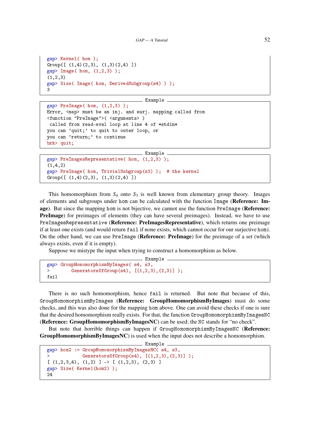```
gap> Kernel( hom );
Group([ (1,4)(2,3), (1,3)(2,4) ])
gap> Image( hom, (1,2,3) );
(1,2,3)gap> Size( Image( hom, DerivedSubgroup(s4) ) );
3
```

```
Example
gap> PreImage( hom, (1,2,3) );
Error, <map> must be an inj. and surj. mapping called from
<function "PreImage">( <arguments> )
 called from read-eval loop at line 4 of *stdin*
you can 'quit;' to quit to outer loop, or
you can 'return;' to continue
brk> quit;
```

```
Example
gap> PreImagesRepresentative( hom, (1,2,3) );
(1,4,2)gap> PreImage( hom, TrivialSubgroup(s3) ); # the kernel
Group([ (1,4)(2,3), (1,3)(2,4) ])
```
This homomorphism from  $S_4$  onto  $S_3$  is well known from elementary group theory. Images of elements and subgroups under hom can be calculated with the function Image (Reference: Image). But since the mapping hom is not bijective, we cannot use the function PreImage (Reference: PreImage) for preimages of elements (they can have several preimages). Instead, we have to use PreImagesRepresentative (Reference: PreImagesRepresentative), which returns one preimage if at least one exists (and would return fail if none exists, which cannot occur for our surjective hom). On the other hand, we can use PreImage (Reference: PreImage) for the preimage of a set (which always exists, even if it is empty).

Suppose we mistype the input when trying to construct a homomorphism as below.

```
Example
gap> GroupHomomorphismByImages( s4, s3,
\rightarrow GeneratorsOfGroup(s4), [(1,2,3), (2,3)]);
fail
```
There is no such homomorphism, hence fail is returned. But note that because of this, GroupHomomorphismByImages (Reference: GroupHomomorphismByImages) must do some checks, and this was also done for the mapping hom above. One can avoid these checks if one is sure that the desired homomorphism really exists. For that, the function GroupHomomorphismByImagesNC (Reference: GroupHomomorphismByImagesNC) can be used; the NC stands for "no check".

But note that horrible things can happen if GroupHomomorphismByImagesNC (Reference: GroupHomomorphismByImagesNC) is used when the input does not describe a homomorphism.

```
Example
gap> hom2 := GroupHomomorphismByImagesNC( s4, s3,
             Generators0fGroup(s4), [(1,2,3),(2,3)] );
[ (1,2,3,4), (1,2) ] \rightarrow [ (1,2,3), (2,3) ]gap> Size( Kernel(hom2) );
24
```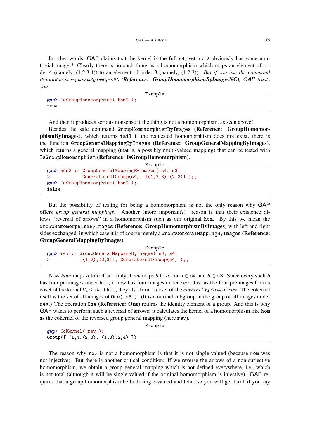In other words, GAP claims that the kernel is the full s4, yet hom2 obviously has some nontrivial images! Clearly there is no such thing as a homomorphism which maps an element of order 4 (namely, (1,2,3,4)) to an element of order 3 (namely, (1,2,3)). *But if you use the command* GroupHomomorphismByImagesNC *(Reference: GroupHomomorphismByImagesNC), GAP trusts you.*

Example

```
gap> IsGroupHomomorphism( hom2 );
true
```
And then it produces serious nonsense if the thing is not a homomorphism, as seen above!

Besides the safe command GroupHomomorphismByImages (Reference: GroupHomomorphismByImages), which returns fail if the requested homomorphism does not exist, there is the function GroupGeneralMappingByImages (Reference: GroupGeneralMappingByImages), which returns a general mapping (that is, a possibly multi-valued mapping) that can be tested with IsGroupHomomorphism (Reference: IsGroupHomomorphism).

```
Example
gap> hom2 := GroupGeneralMappingByImages( s4, s3,
             GeneratorsOfGroup(s4), [(1,2,3), (2,3)]);;
gap> IsGroupHomomorphism( hom2 );
false
```
But the possibility of testing for being a homomorphism is not the only reason why GAP offers *group general mappings*. Another (more important?) reason is that their existence allows "reversal of arrows" in a homomorphism such as our original hom. By this we mean the GroupHomomorphismByImages (Reference: GroupHomomorphismByImages) with left and right sides exchanged, in which case it is of course merely a GroupGeneralMappingByImages (Reference: GroupGeneralMappingByImages).

```
Example
gap> rev := GroupGeneralMappingByImages( s3, s4,
> [(1,2),(2,3)], GeneratorsOfGroup(s4) );;
```
Now *hom* maps *a* to *b* if and only if *rev* maps *b* to *a*, for  $a \in \text{S4}$  and  $b \in \text{S3}$ . Since every such *b* has four preimages under hom, it now has four images under rev. Just as the four preimages form a coset of the kernel  $V_4 \leq s4$  of hom, they also form a coset of the *cokernel*  $V_4 \leq s4$  of rev. The cokernel itself is the set of all images of One( s3 ). (It is a normal subgroup in the group of all images under rev.) The operation One (Reference: One) returns the identity element of a group. And this is why GAP wants to perform such a reversal of arrows: it calculates the kernel of a homomorphism like hom as the cokernel of the reversed group general mapping (here rev).

- Example -

```
gap> CoKernel( rev );
Group([ (1,4)(2,3), (1,3)(2,4) ])
```
The reason why rev is not a homomorphism is that it is not single-valued (because hom was not injective). But there is another critical condition: If we reverse the arrows of a non-surjective homomorphism, we obtain a group general mapping which is not defined everywhere, i.e., which is not total (although it will be single-valued if the original homomorphism is injective). GAP requires that a group homomorphism be both single-valued and total, so you will get fail if you say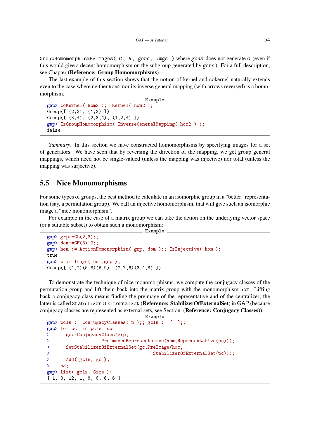GroupHomomorphismByImages( G, H, gens, imgs ) where gens does not generate G (even if this would give a decent homomorphism on the subgroup generated by gens). For a full description, see Chapter (Reference: Group Homomorphisms).

The last example of this section shows that the notion of kernel and cokernel naturally extends even to the case where neither hom2 nor its inverse general mapping (with arrows reversed) is a homomorphism.

```
_ Example .
gap> CoKernel( hom2 ); Kernel( hom2 );
Group([ (2,3), (1,3) ])
Group([ (3,4), (2,3,4), (1,2,4) ])
gap> IsGroupHomomorphism( InverseGeneralMapping( hom2 ) );
false
```
*Summary.* In this section we have constructed homomorphisms by specifying images for a set of generators. We have seen that by reversing the direction of the mapping, we get group general mappings, which need not be single-valued (unless the mapping was injective) nor total (unless the mapping was surjective).

#### 5.5 Nice Monomorphisms

For some types of groups, the best method to calculate in an isomorphic group in a "better" representation (say, a permutation group). We call an injective homomorphism, that will give such an isomorphic image a "nice monomorphism".

For example in the case of a matrix group we can take the action on the underlying vector space (or a suitable subset) to obtain such a monomorphism:

```
Example
gap> grp:=GL(2,3);;
gap dom:=GF(3)^2;;
gap> hom := ActionHomomorphism( grp, dom );; IsInjective( hom );
true
gap> p := Image( hom,grp );
Group([ (4,7)(5,8)(6,9), (2,7,6)(3,4,8) ])
```
To demonstrate the technique of nice monomorphisms, we compute the conjugacy classes of the permutation group and lift them back into the matrix group with the monomorphism hom. Lifting back a conjugacy class means finding the preimage of the representative and of the centralizer; the latter is called StabilizerOfExternalSet (Reference: StabilizerOfExternalSet) in GAP (because conjugacy classes are represented as external sets, see Section (Reference: Conjugacy Classes)).

```
Example
gap> pcls := ConjugacyClasses( p );; gcls := [ ];
gap> for pc in pcls do
> gc:=ConjugacyClass(grp,
> PreImagesRepresentative(hom,Representative(pc)));
> SetStabilizerOfExternalSet(gc,PreImage(hom,
> StabilizerOfExternalSet(pc)));
> Add( gcls, gc );
> od;
gap> List( gcls, Size );
[ 1, 8, 12, 1, 8, 6, 6, 6 ]
```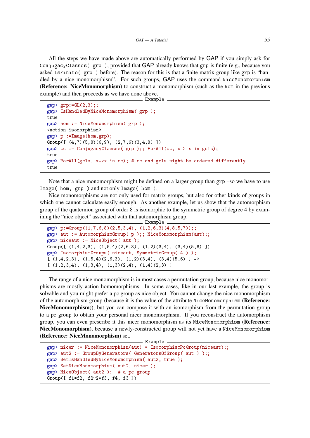All the steps we have made above are automatically performed by GAP if you simply ask for ConjugacyClasses( grp ), provided that GAP already knows that grp is finite (e.g., because you asked IsFinite( grp ) before). The reason for this is that a finite matrix group like grp is "handled by a nice monomorphism". For such groups, GAP uses the command NiceMonomorphism (Reference: NiceMonomorphism) to construct a monomorphism (such as the hom in the previous example) and then proceeds as we have done above.

```
_ Example .
gap grp:=GL(2,3);;
gap> IsHandledByNiceMonomorphism( grp );
true
gap> hom := NiceMonomorphism( grp );
<action isomorphism>
gap> p :=Image(hom,grp);
Group([ (4,7)(5,8)(6,9), (2,7,6)(3,4,8) ])
gap cc := ConjugacyClasses( grp);; ForAll(cc, x-> x in gcls);
true
gap> ForAll(gcls, x->x in cc); # cc and gcls might be ordered differently
true
```
Note that a nice monomorphism might be defined on a larger group than grp –so we have to use Image( hom, grp ) and not only Image( hom ).

Nice monomorphisms are not only used for matrix groups, but also for other kinds of groups in which one cannot calculate easily enough. As another example, let us show that the automorphism group of the quaternion group of order 8 is isomorphic to the symmetric group of degree 4 by examining the "nice object" associated with that automorphism group.

```
Example
gap> p:=Group((1,7,6,8)(2,5,3,4), (1,2,6,3)(4,8,5,7));;
gap> aut := AutomorphismGroup( p );; NiceMonomorphism(aut);;
gap> niceaut := NiceObject( aut );
Group([ (1,4,2,3), (1,5,4)(2,6,3), (1,2)(3,4), (3,4)(5,6) ])
gap> IsomorphismGroups( niceaut, SymmetricGroup( 4 ) );
[(1,4,2,3), (1,5,4)(2,6,3), (1,2)(3,4), (3,4)(5,6)] \rightarrow[(1,2,3,4), (1,3,4), (1,3)(2,4), (1,4)(2,3)]
```
The range of a nice monomorphism is in most cases a permutation group, because nice monomorphisms are mostly action homomorphisms. In some cases, like in our last example, the group is solvable and you might prefer a pc group as nice object. You cannot change the nice monomorphism of the automorphism group (because it is the value of the attribute NiceMonomorphism (Reference: NiceMonomorphism)), but you can compose it with an isomorphism from the permutation group to a pc group to obtain your personal nicer monomorphism. If you reconstruct the automorphism group, you can even prescribe it this nicer monomorphism as its NiceMonomorphism (Reference: NiceMonomorphism), because a newly-constructed group will not yet have a NiceMonomorphism (Reference: NiceMonomorphism) set.

```
Example
gap> nicer := NiceMonomorphism(aut) * IsomorphismPcGroup(niceaut);;
gap > aut2 := GroupByGenerators( GeneratorsOfGroup(aut));
gap> SetIsHandledByNiceMonomorphism( aut2, true );
gap> SetNiceMonomorphism( aut2, nicer );
gap> NiceObject( aut2 ); # a pc group
Group([ f1*f2, f2^2*f3, f4, f3 ])
```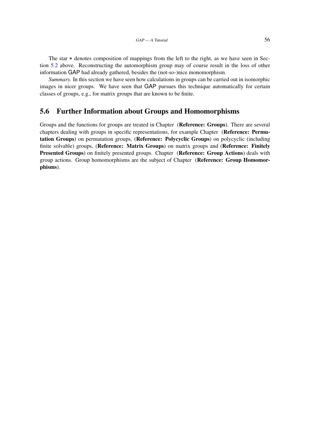The star \* denotes composition of mappings from the left to the right, as we have seen in Section [5.2](#page-41-0) above. Reconstructing the automorphism group may of course result in the loss of other information GAP had already gathered, besides the (not-so-)nice monomorphism.

*Summary.* In this section we have seen how calculations in groups can be carried out in isomorphic images in nicer groups. We have seen that GAP pursues this technique automatically for certain classes of groups, e.g., for matrix groups that are known to be finite.

#### 5.6 Further Information about Groups and Homomorphisms

Groups and the functions for groups are treated in Chapter (Reference: Groups). There are several chapters dealing with groups in specific representations, for example Chapter (Reference: Permutation Groups) on permutation groups, (Reference: Polycyclic Groups) on polycyclic (including finite solvable) groups, (**Reference: Matrix Groups**) on matrix groups and (**Reference: Finitely** Presented Groups) on finitely presented groups. Chapter (Reference: Group Actions) deals with group actions. Group homomorphisms are the subject of Chapter (Reference: Group Homomorphisms).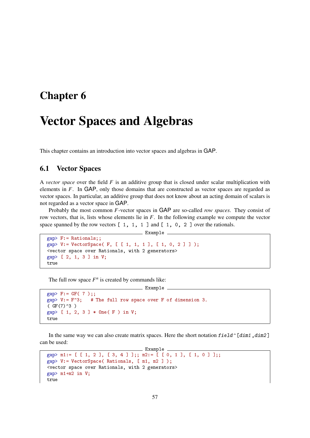## <span id="page-56-0"></span>Chapter 6

# Vector Spaces and Algebras

This chapter contains an introduction into vector spaces and algebras in GAP.

### <span id="page-56-1"></span>6.1 Vector Spaces

A *vector space* over the field *F* is an additive group that is closed under scalar multiplication with elements in *F*. In GAP, only those domains that are constructed as vector spaces are regarded as vector spaces. In particular, an additive group that does not know about an acting domain of scalars is not regarded as a vector space in GAP.

Probably the most common *F*-vector spaces in GAP are so-called *row spaces*. They consist of row vectors, that is, lists whose elements lie in *F*. In the following example we compute the vector space spanned by the row vectors  $[1, 1, 1]$  and  $[1, 0, 2]$  over the rationals.

```
Example _
gap> F:= Rationals;;
gap> V:= VectorSpace( F, [ [ 1, 1, 1 ], [ 1, 0, 2 ] ] );
<vector space over Rationals, with 2 generators>
gap> [ 2, 1, 3 ] in V;
true
```
The full row space  $F^n$  is created by commands like:

```
Example
gap > F := GF( 7 );;
gap > V := F^3; # The full row space over F of dimension 3.
(CGF(7)^{-3})gap> [ 1, 2, 3 ] * One( F ) in V;
true
```
In the same way we can also create matrix spaces. Here the short notation  $field \cap [dim1, dim2]$ can be used:

```
- Example -gap> m1:= [ [ 1, 2 ], [ 3, 4 ] ];; m2:= [ [ 0, 1 ], [ 1, 0 ] ];;
gap> V:= VectorSpace( Rationals, [ m1, m2 ] );
<vector space over Rationals, with 2 generators>
gap> m1+m2 in V;
true
```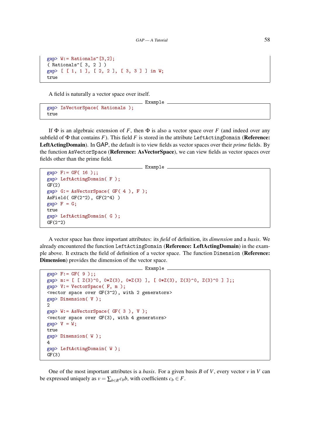```
gap> W:= Rationals^[3,2];
( Rationals^[ 3, 2 ] )
gap> [ [ 1, 1 ], [ 2, 2 ], [ 3, 3 ] ] in W;
true
```
A field is naturally a vector space over itself.

```
gap> IsVectorSpace( Rationals );
true
```
If  $\Phi$  is an algebraic extension of *F*, then  $\Phi$  is also a vector space over *F* (and indeed over any subfield of  $\Phi$  that contains *F*). This field *F* is stored in the attribute LeftActingDomain (**Reference:** LeftActingDomain). In GAP, the default is to view fields as vector spaces over their *prime* fields. By the function AsVectorSpace (Reference: AsVectorSpace), we can view fields as vector spaces over fields other than the prime field.

 $\_$  Example  $\_$ 

Example \_

```
gap > F := GF( 16 );;
gap> LeftActingDomain( F );
GF(2)gap> G:= AsVectorSpace( GF( 4 ), F );
AsField(GF(2^2), GF(2^4))
gap > F = G;true
gap> LeftActingDomain( G );
GF(2^2)
```
A vector space has three important attributes: its *field* of definition, its *dimension* and a *basis*. We already encountered the function LeftActingDomain (Reference: LeftActingDomain) in the example above. It extracts the field of definition of a vector space. The function Dimension (Reference: Dimension) provides the dimension of the vector space.

```
Example -
```

```
gap > F := GF(9);;
gap> m:= [ [ Z(3)^0, 0*Z(3), 0*Z(3) ], [ 0*Z(3), Z(3)^0, Z(3)^0 ] ];;
gap> V:= VectorSpace( F, m );
<vector space over GF(3^2), with 2 generators>
gap> Dimension( V );
2
gap> W:= AsVectorSpace( GF( 3 ), V );
<vector space over GF(3), with 4 generators>
gap > V = W;true
gap> Dimension( W );
4
gap> LeftActingDomain( W );
GF(3)
```
One of the most important attributes is a *basis*. For a given basis *B* of *V*, every vector *v* in *V* can be expressed uniquely as  $v = \sum_{b \in B} c_b b$ , with coefficients  $c_b \in F$ .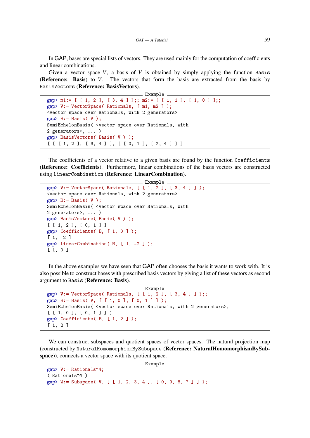In GAP, bases are special lists of vectors. They are used mainly for the computation of coefficients and linear combinations.

Given a vector space  $V$ , a basis of  $V$  is obtained by simply applying the function Basis (Reference: Basis) to *V*. The vectors that form the basis are extracted from the basis by BasisVectors (Reference: BasisVectors).

```
_ Example .
gap> m1:= [ [ 1, 2 ], [ 3, 4 ] ];; m2:= [ [ 1, 1 ], [ 1, 0 ] ];;
gap> V:= VectorSpace( Rationals, [ m1, m2 ] );
<vector space over Rationals, with 2 generators>
gap> B := Basis(V);
SemiEchelonBasis( <vector space over Rationals, with
2 generators>, ... )
gap> BasisVectors( Basis( V ) );
[ [ [ 1, 2 ], [ 3, 4 ] ], [ [ 0, 1 ], [ 2, 4 ] ] ]
```
The coefficients of a vector relative to a given basis are found by the function Coefficients (Reference: Coefficients). Furthermore, linear combinations of the basis vectors are constructed using LinearCombination (Reference: LinearCombination).

```
Example
gap> V:= VectorSpace( Rationals, [ [ 1, 2 ], [ 3, 4 ] ]);
<vector space over Rationals, with 2 generators>
gap > B := Basis(V);
SemiEchelonBasis( <vector space over Rationals, with
2 generators>, ... )
gap> BasisVectors( Basis( V ) );
[ [ 1, 2 ], [ 0, 1 ] ]gap> Coefficients( B, [ 1, 0 ] );
[1, -2]gap> LinearCombination( B, [ 1, -2 ] );
[ 1, 0 ]
```
In the above examples we have seen that GAP often chooses the basis it wants to work with. It is also possible to construct bases with prescribed basis vectors by giving a list of these vectors as second argument to Basis (Reference: Basis).

```
Example
gap> V:= VectorSpace( Rationals, [ [ 1, 2 ], [ 3, 4 ] ]);;
gap> B:= Basis( V, [ [ 1, 0 ], [ 0, 1 ] ] );
SemiEchelonBasis( <vector space over Rationals, with 2 generators>,
[ [ 1, 0 ], [ 0, 1 ] ] )
gap> Coefficients( B, [ 1, 2 ] );
[ 1, 2 ]
```
We can construct subspaces and quotient spaces of vector spaces. The natural projection map (constructed by NaturalHomomorphismBySubspace (Reference: NaturalHomomorphismBySubspace)), connects a vector space with its quotient space.

Example

```
gap> V:= Rationals^4;
( Rationals^4 )
gap> W:= Subspace( V, [ [ 1, 2, 3, 4 ], [ 0, 9, 8, 7 ] ] );
```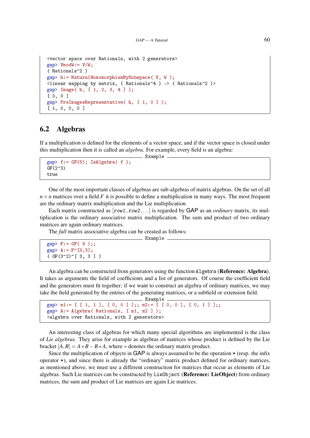```
<vector space over Rationals, with 2 generators>
gap> VmodW:= V/W;
( Rationals^2 )
gap> h:= NaturalHomomorphismBySubspace( V, W );
<linear mapping by matrix, ( Rationals^4 ) -> ( Rationals^2 )>
gap> Image( h, [ 1, 2, 3, 4 ] );
[ 0, 0 ]
gap> PreImagesRepresentative( h, [ 1, 0 ] );
[ 1, 0, 0, 0 ]
```
### 6.2 Algebras

If a multiplication is defined for the elements of a vector space, and if the vector space is closed under this multiplication then it is called an *algebra*. For example, every field is an algebra: Example

```
gap > f := GF(8); IsAlgebra(f);GF(2^3)true
```
One of the most important classes of algebras are sub-algebras of matrix algebras. On the set of all  $n \times n$  matrices over a field *F* it is possible to define a multiplication in many ways. The most frequent are the ordinary matrix multiplication and the Lie multiplication.

Each matrix constructed as  $[row1,row2,...]$  is regarded by GAP as an *ordinary* matrix, its multiplication is the ordinary associative matrix multiplication. The sum and product of two ordinary matrices are again ordinary matrices.

The *full* matrix associative algebra can be created as follows:

```
_ Example .
```

```
gap > F := GF(9);;
gap> A:= F^[3,3];
( GF(3^2)^{2} [ 3, 3 ] )
```
An algebra can be constructed from generators using the function Algebra (Reference: Algebra). It takes as arguments the field of coefficients and a list of generators. Of course the coefficient field and the generators must fit together; if we want to construct an algebra of ordinary matrices, we may take the field generated by the entries of the generating matrices, or a subfield or extension field.

```
_ Example
gap> m1:= [ [ 1, 1 ], [ 0, 0 ] ];; m2:= [ [ 0, 0 ], [ 0, 1 ] ];;
gap> A:= Algebra( Rationals, [ m1, m2 ] );
<algebra over Rationals, with 2 generators>
```
An interesting class of algebras for which many special algorithms are implemented is the class of *Lie algebras*. They arise for example as algebras of matrices whose product is defined by the Lie bracket  $[A, B] = A * B - B * A$ , where  $*$  denotes the ordinary matrix product.

Since the multiplication of objects in GAP is always assumed to be the operation \* (resp. the infix operator \*), and since there is already the "ordinary" matrix product defined for ordinary matrices, as mentioned above, we must use a different construction for matrices that occur as elements of Lie algebras. Such Lie matrices can be constructed by LieObject (Reference: LieObject) from ordinary matrices, the sum and product of Lie matrices are again Lie matrices.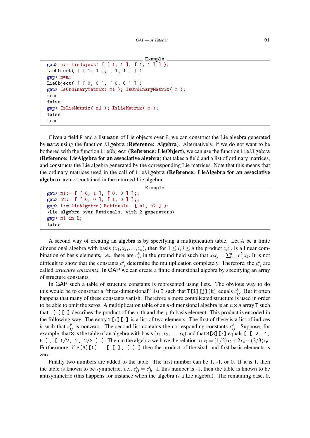```
Example
gap> m:= LieObject( [ [ 1, 1 ], [ 1, 1 ] ] );
LieObject( [ [ 1, 1 ], [ 1, 1 ] ] )
gap> m*m;
LieObject( [ [ 0, 0 ], [ 0, 0 ] ] )
gap> IsOrdinaryMatrix( m1 ); IsOrdinaryMatrix( m );
true
false
gap> IsLieMatrix( m1 ); IsLieMatrix( m );
false
true
```
Given a field F and a list mats of Lie objects over F, we can construct the Lie algebra generated by mats using the function Algebra (Reference: Algebra). Alternatively, if we do not want to be bothered with the function LieObject (Reference: LieObject), we can use the function LieAlgebra (Reference: LieAlgebra for an associative algebra) that takes a field and a list of ordinary matrices, and constructs the Lie algebra generated by the corresponding Lie matrices. Note that this means that the ordinary matrices used in the call of LieAlgebra (Reference: LieAlgebra for an associative algebra) are not contained in the returned Lie algebra.

Example

```
gap > m1 := [ [ 0, 1 ], [ 0, 0 ] ];
gap > m2 := [ [ 0, 0 ], [ 1, 0 ] ];
gap> L:= LieAlgebra( Rationals, [ m1, m2 ] );
<Lie algebra over Rationals, with 2 generators>
gap> m1 in L;
false
```
A second way of creating an algebra is by specifying a multiplication table. Let *A* be a finite dimensional algebra with basis  $(x_1, x_2, \ldots, x_n)$ , then for  $1 \le i, j \le n$  the product  $x_i x_j$  is a linear combination of basis elements, i.e., there are  $c_{ij}^k$  in the ground field such that  $x_ix_j = \sum_{k=1}^n c_{ij}^k x_k$ . It is not difficult to show that the constants  $c_{ij}^k$  determine the multiplication completely. Therefore, the  $c_{ij}^k$  are called *structure constants*. In GAP we can create a finite dimensional algebra by specifying an array of structure constants.

In GAP such a table of structure constants is represented using lists. The obvious way to do this would be to construct a "three-dimensional" list T such that  $T[i][j][k]$  equals  $c_{ij}^k$ . But it often happens that many of these constants vanish. Therefore a more complicated structure is used in order to be able to omit the zeros. A multiplication table of an *n*-dimensional algebra is an  $n \times n$  array T such that  $T[i]$ [j] describes the product of the i-th and the j-th basis element. This product is encoded in the following way. The entry  $T[i]$  [j] is a list of two elements. The first of these is a list of indices *k* such that  $c_{ij}^k$  is nonzero. The second list contains the corresponding constants  $c_{ij}^k$ . Suppose, for example, that S is the table of an algebra with basis  $(x_1, x_2,..., x_8)$  and that S[3][7] equals  $\begin{bmatrix} 2, 4, \end{bmatrix}$ 6 ], [ 1/2, 2, 2/3 ] ]. Then in the algebra we have the relation  $x_3x_7 = (1/2)x_2 + 2x_4 + (2/3)x_6$ . Furthermore, if  $S[6][1] = [1], [1]$  then the product of the sixth and first basis elements is zero.

Finally two numbers are added to the table. The first number can be 1, -1, or 0. If it is 1, then the table is known to be symmetric, i.e.,  $c_{ij}^k = c_{ji}^k$ . If this number is -1, then the table is known to be antisymmetric (this happens for instance when the algebra is a Lie algebra). The remaining case, 0,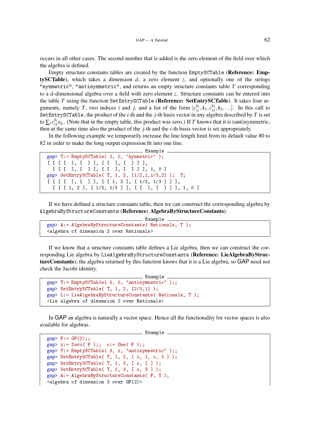occurs in all other cases. The second number that is added is the zero element of the field over which the algebra is defined.

Empty structure constants tables are created by the function EmptySCTable (Reference: EmptySCTable), which takes a dimension *d*, a zero element *z*, and optionally one of the strings "symmetric", "antisymmetric", and returns an empty structure constants table *T* corresponding to a *d*-dimensional algebra over a field with zero element *z*. Structure constants can be entered into the table *T* using the function SetEntrySCTable (Reference: SetEntrySCTable). It takes four arguments, namely *T*, two indices *i* and *j*, and a list of the form  $[c_{ij}^{k_1}, k_1, c_{ij}^{k_2}, k_2,...]$ . In this call to SetEntrySCTable, the product of the *i*-th and the *j*-th basis vector in any algebra described by *T* is set to  $\sum_l c_{ij}^{k_l} x_{k_l}$ . (Note that in the empty table, this product was zero.) If *T* knows that it is (anti)symmetric, then at the same time also the product of the *j*-th and the *i*-th basis vector is set appropriately.

In the following example we temporarily increase the line length limit from its default value 80 to 82 in order to make the long output expression fit into one line.

```
Example
gap> T:= EmptySCTable( 2, 0, "symmetric" );
[ [ [ [ ], [ ] ], [ [ ], [ ] ] ],
  [ [ [ ], [ ] ], [ [ ], [ ] ] ], 1, 0 ]
gap> SetEntrySCTable( T, 1, 2, [1/2,1,1/3,2] ); T;
[ [ [ [ ], [ ] ], [ [ 1, 2 ], [ 1/2, 1/3 ] ] ],
  [ [ [ [ 1, 2 ], [ 1/2, 1/3 ] ], [ [ 1, [ 1, 1, 0 ]]
```
If we have defined a structure constants table, then we can construct the corresponding algebra by AlgebraByStructureConstants (Reference: AlgebraByStructureConstants).

```
Example
gap> A:= AlgebraByStructureConstants( Rationals, T );
<algebra of dimension 2 over Rationals>
```
If we know that a structure constants table defines a Lie algebra, then we can construct the corresponding Lie algebra by LieAlgebraByStructureConstants (Reference: LieAlgebraByStructureConstants); the algebra returned by this function knows that it is a Lie algebra, so GAP need not check the Jacobi identity.

```
Example
gap> T:= EmptySCTable( 2, 0, "antisymmetric" );;
gap> SetEntrySCTable(T, 1, 2, [2/3,1]);
gap> L:= LieAlgebraByStructureConstants( Rationals, T );
<Lie algebra of dimension 2 over Rationals>
```
In GAP an algebra is naturally a vector space. Hence all the functionality for vector spaces is also available for algebras.

```
Example
```

```
gap > F := GF(2);
gap > z := Zero(F);; o:= One( F);;
gap> T:= EmptySCTable( 3, z, "antisymmetric" );;
gap> SetEntrySCTable( T, 1, 2, [ o, 1, o, 3 ] );
gap> SetEntrySCTable( T, 1, 3, [ o, 1 ] );
gap> SetEntrySCTable( T, 2, 3, [ o, 3 ] );
gap> A:= AlgebraByStructureConstants( F, T );
\langlealgebra of dimension 3 over GF(2)
```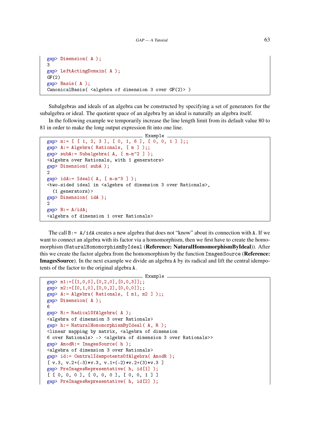```
gap> Dimension( A );
3
gap> LeftActingDomain( A );
GF(2)gap> Basis( A );
CanonicalBasis(\langlealgebra of dimension 3 over GF(2)))
```
Subalgebras and ideals of an algebra can be constructed by specifying a set of generators for the subalgebra or ideal. The quotient space of an algebra by an ideal is naturally an algebra itself.

In the following example we temporarily increase the line length limit from its default value 80 to 81 in order to make the long output expression fit into one line.

```
Example
gap> m:= [ [ 1, 2, 3 ], [ 0, 1, 6 ], [ 0, 0, 1 ] ];;
gap> A:= Algebra( Rationals, [ m ] );;
gap> subA:= Subalgebra( A, [ m-m^2 ] );
<algebra over Rationals, with 1 generators>
gap> Dimension( subA );
2
gap > idA := Ideal(A, [m-m^3] );
<two-sided ideal in <algebra of dimension 3 over Rationals>,
  (1 generators)>
gap> Dimension( idA );
\mathcal{D}gap> B:= A/idA;
<algebra of dimension 1 over Rationals>
```
The call B:= A/idA creates a new algebra that does not "know" about its connection with A. If we want to connect an algebra with its factor via a homomorphism, then we first have to create the homomorphism (NaturalHomomorphismByIdeal (Reference: NaturalHomomorphismByIdeal)). After this we create the factor algebra from the homomorphism by the function ImagesSource (Reference: ImagesSource). In the next example we divide an algebra A by its radical and lift the central idempotents of the factor to the original algebra A.

```
Example
gap > m1 := [[1,0,0], [0,2,0], [0,0,3]];
gap > m2 := [[0,1,0], [0,0,2], [0,0,0]];
gap> A := Algebra( Rationals, [m1, m2]);;
gap> Dimension( A );
6
gap> R:= RadicalOfAlgebra( A );
<algebra of dimension 3 over Rationals>
gap> h:= NaturalHomomorphismByIdeal( A, R );
<linear mapping by matrix, <algebra of dimension
6 over Rationals> -> <algebra of dimension 3 over Rationals>>
gap> AmodR:= ImagesSource( h );
<algebra of dimension 3 over Rationals>
gap> id:= CentralIdempotentsOfAlgebra( AmodR );
\left[ \begin{array}{cc} v.3, & v.2+(-3)*v.3, & v.1+(-2)*v.2+(3)*v.3 \end{array} \right]gap> PreImagesRepresentative( h, id[1] );
[ [ 0, 0, 0 ], [ 0, 0, 0 ], [ 0, 0, 1 ] ]gap> PreImagesRepresentative( h, id[2] );
```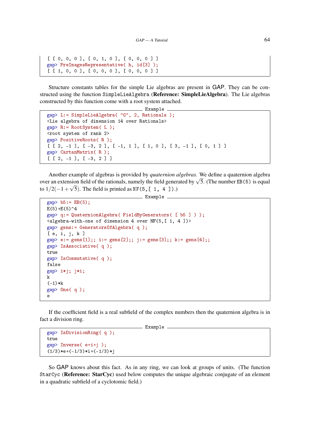```
[ [ 0, 0, 0 ], [ 0, 1, 0 ], [ 0, 0, 0 ] ]
gap> PreImagesRepresentative( h, id[3] );
[ [ [ 1, 0, 0 ], [ 0, 0, 0 ], [ 0, 0, 0 ] ]
```
Structure constants tables for the simple Lie algebras are present in GAP. They can be constructed using the function SimpleLieAlgebra (Reference: SimpleLieAlgebra). The Lie algebras constructed by this function come with a root system attached.

Example

```
gap> L:= SimpleLieAlgebra( "G", 2, Rationals );
<Lie algebra of dimension 14 over Rationals>
gap> R:= RootSystem( L );
<root system of rank 2>
gap> PositiveRoots( R );
[ [ 2, -1 ], [ -3, 2 ], [ -1, 1 ], [ 1, 0 ], [ 3, -1 ], [ 0, 1 ] ]gap> CartanMatrix( R );
[ [ 2, -1 ], [ -3, 2 ] ]
```
Another example of algebras is provided by *quaternion algebras*. We define a quaternion algebra Another example of algebras is provided by *quaternion algebras*. We define a quaternion algebra<br>over an extension field of the rationals, namely the field generated by  $\sqrt{5}$ . (The number EB(5) is equal to  $1/2(-1+\sqrt{5})$ . The field is printed as NF(5, [ 1, 4 ]).)

```
- Example
gap > b5 := EB(5);E(5)+E(5)<sup>-4</sup>
gap> q:= QuaternionAlgebra( FieldByGenerators( [ b5 ] ) );
\langlealgebra-with-one of dimension 4 over NF(5, [1, 4])>
gap> gens:= GeneratorsOfAlgebra( q );
[ e, i, j, k ]
gap > e := gens[1];; i := gens[2];; j := gens[3];; k := gens[4];;gap> IsAssociative( q );
true
gap> IsCommutative( q );
false
gap> i*j; j*i;
k
(-1)*kgap One(q);
```
If the coefficient field is a real subfield of the complex numbers then the quaternion algebra is in fact a division ring.

Example.

```
gap> IsDivisionRing( q );
true
gap> Inverse( e+i+j );
(1/3)*e+(-1/3)*i+(-1/3)*j
```
e

So GAP knows about this fact. As in any ring, we can look at groups of units. (The function StarCyc (Reference: StarCyc) used below computes the unique algebraic conjugate of an element in a quadratic subfield of a cyclotomic field.)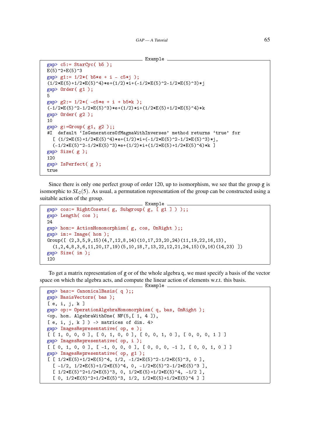```
Example
```

```
gap c5:= StarCyc( b5);
E(5)^2+E(5)^3gap> g1:= 1/2*( b5*e + i - c5*j );
(1/2*E(5)+1/2*E(5)^{-4})*e+(1/2)*i+(-1/2*E(5)^{-2}-1/2*E(5)^{-3})*jgap> Order( g1 );
5
gap> g2:= 1/2*( -c5*e + i + b5*k );
(-1/2*E(5)^2-2-1/2*E(5)^3)*e+(1/2)*i+(1/2*E(5)+1/2*E(5)^4)*kgap> Order( g2 );
10
gap > g := Group(g1, g2);#I default 'IsGeneratorsOfMagmaWithInverses' method returns 'true' for
  [(1/2*E(5)+1/2*E(5)^{-4})*e+(1/2)*i+(-1/2*E(5)^{-2}-1/2*E(5)^{-3})*j,(-1/2*E(5)^2-2-1/2*E(5)^3)*e+(1/2)*i+(1/2*E(5)+1/2*E(5)^4)*k ]gap> Size( g );
120
gap> IsPerfect( g );
true
```
Since there is only one perfect group of order 120, up to isomorphism, we see that the group g is isomorphic to  $SL<sub>2</sub>(5)$ . As usual, a permutation representation of the group can be constructed using a suitable action of the group.

```
Example
gap> cos:= RightCosets( g, Subgroup( g, [ g1 ] ) );;
gap> Length( cos );
24
gap> hom:= ActionHomomorphism( g, cos, OnRight );;
gap im:= Image( hom );
Group([ (2,3,5,9,15)(4,7,12,8,14)(10,17,23,20,24)(11,19,22,16,13),
  (1,2,4,8,3,6,11,20,17,19)(5,10,18,7,13,22,12,21,24,15)(9,16)(14,23)]
gap> Size( im );
120
```
To get a matrix representation of g or of the whole algebra q, we must specify a basis of the vector space on which the algebra acts, and compute the linear action of elements w.r.t. this basis. Example

```
gap> bas:= CanonicalBasis( q );;
gap> BasisVectors( bas );
[ e, i, j, k ]
gap> op:= OperationAlgebraHomomorphism( q, bas, OnRight );
\langleop. hom. AlgebraWithOne( NF(5, [ 1, 4 ]),
[ e, i, j, k ] ) -> matrices of dim. 4>
gap> ImagesRepresentative( op, e );
[ [ 1, 0, 0, 0 ], [ 0, 1, 0, 0 ], [ 0, 0, 1, 0 ], [ 0, 0, 0, 1 ] ]gap> ImagesRepresentative( op, i );
[ [ 0, 1, 0, 0 ], [ -1, 0, 0, 0 ], [ 0, 0, 0, -1 ], [ 0, 0, 1, 0 ] ]gap> ImagesRepresentative( op, g1 );
[ [ 1/2*E(5)+1/2*E(5)^{-}4, 1/2, -1/2*E(5)^{-}2-1/2*E(5)^{-}3, 0 ][-1/2, 1/2*E(5)+1/2*E(5)^4, 0, -1/2*E(5)^2+1/2*E(5)^3][1/2*E(5)^2+1/2*E(5)^3, 0, 1/2*E(5)+1/2*E(5)^4, -1/2 ][ 0, 1/2*E(5)^2+1/2*E(5)^3, 1/2, 1/2*E(5)+1/2*E(5)^4 ] ]
```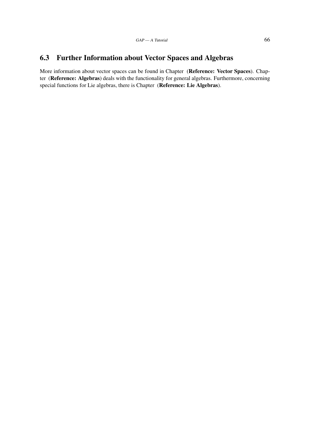### 6.3 Further Information about Vector Spaces and Algebras

More information about vector spaces can be found in Chapter (Reference: Vector Spaces). Chapter (Reference: Algebras) deals with the functionality for general algebras. Furthermore, concerning special functions for Lie algebras, there is Chapter (Reference: Lie Algebras).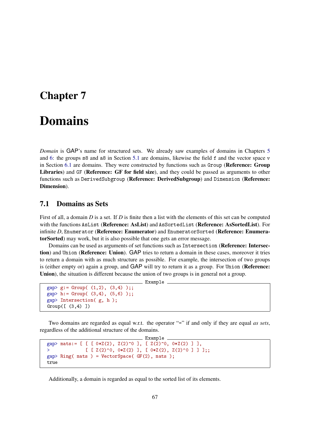### Chapter 7

# Domains

*Domain* is GAP's name for structured sets. We already saw examples of domains in Chapters [5](#page-38-0) and [6:](#page-56-0) the groups s8 and a8 in Section [5.1](#page-38-1) are domains, likewise the field f and the vector space v in Section [6.1](#page-56-1) are domains. They were constructed by functions such as Group (Reference: Group Libraries) and GF (Reference: GF for field size), and they could be passed as arguments to other functions such as DerivedSubgroup (Reference: DerivedSubgroup) and Dimension (Reference: Dimension).

### 7.1 Domains as Sets

First of all, a domain *D* is a set. If *D* is finite then a list with the elements of this set can be computed with the functions AsList (Reference: AsList) and AsSortedList (Reference: AsSortedList). For infinite *D*, Enumerator (Reference: Enumerator) and EnumeratorSorted (Reference: EnumeratorSorted) may work, but it is also possible that one gets an error message.

Domains can be used as arguments of set functions such as Intersection (Reference: Intersection) and Union (Reference: Union). GAP tries to return a domain in these cases, moreover it tries to return a domain with as much structure as possible. For example, the intersection of two groups is (either empty or) again a group, and GAP will try to return it as a group. For Union (Reference: Union), the situation is different because the union of two groups is in general not a group.

\_ Example \_

```
gap > g := Group( (1,2), (3,4) );
gap > h := Group( (3,4), (5,6) );
gap> Intersection( g, h );
Group([ (3,4) ])
```
Two domains are regarded as equal w.r.t. the operator "=" if and only if they are equal *as sets*, regardless of the additional structure of the domains.

```
Example
gap> mats:= [ [ [ 0*Z(2), Z(2)^0 ], [ Z(2)^0 , 0*Z(2) ] ],
              [ [ [ Z(2)^0, 0, xZ(2) ], [ 0*Z(2), Z(2)^0 ] ] ];;
gap Ring( mats ) = VectorSpace( GF(2), mats );
true
```
Additionally, a domain is regarded as equal to the sorted list of its elements.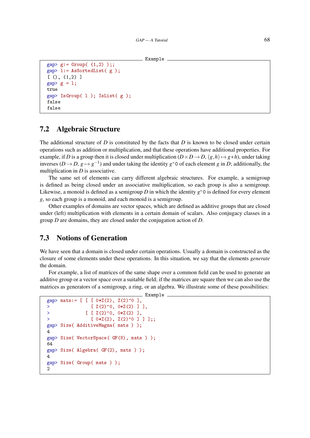```
Example
```

```
gap > g := Group( (1,2) );gap> l:= AsSortedList( g );
[ () , (1,2) ]gap > g = 1;true
gap IsGroup( 1); IsList( g);
false
false
```
### 7.2 Algebraic Structure

The additional structure of *D* is constituted by the facts that *D* is known to be closed under certain operations such as addition or multiplication, and that these operations have additional properties. For example, if *D* is a group then it is closed under multiplication  $(D \times D \to D, (g, h) \mapsto g * h$ , under taking inverses ( $D \to D$ ,  $g \mapsto g^{-1}$ ) and under taking the identity  $g \hat{\ }$  of each element *g* in *D*; additionally, the multiplication in *D* is associative.

The same set of elements can carry different algebraic structures. For example, a semigroup is defined as being closed under an associative multiplication, so each group is also a semigroup. Likewise, a monoid is defined as a semigroup *D* in which the identity  $g^{\circ}$  is defined for every element *g*, so each group is a monoid, and each monoid is a semigroup.

Other examples of domains are vector spaces, which are defined as additive groups that are closed under (left) multiplication with elements in a certain domain of scalars. Also conjugacy classes in a group *D* are domains, they are closed under the conjugation action of *D*.

### 7.3 Notions of Generation

We have seen that a domain is closed under certain operations. Usually a domain is constructed as the closure of some elements under these operations. In this situation, we say that the elements *generate* the domain.

For example, a list of matrices of the same shape over a common field can be used to generate an additive group or a vector space over a suitable field; if the matrices are square then we can also use the matrices as generators of a semigroup, a ring, or an algebra. We illustrate some of these possibilities:

```
Example
gap> mats:= [ [ [ 0*Z(2), Z(2)^0] ],
                 [ Z(2) ^0, 0*Z(2) ] ],
> \left[\begin{array}{ccc} 2(2)^{0}, & 0*Z(2) \end{array}\right],> [0*Z(2), Z(2)^{0} 0 ] ];;
gap> Size( AdditiveMagma( mats ) );
4
gap> Size( VectorSpace( GF(8), mats ) );
64
gap> Size( Algebra( GF(2), mats ) );
4
gap> Size( Group( mats ) );
າ
```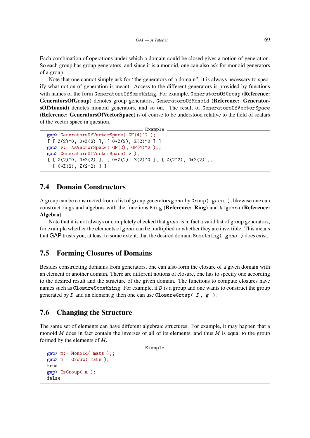Each combination of operations under which a domain could be closed gives a notion of generation. So each group has group generators, and since it is a monoid, one can also ask for monoid generators of a group.

Note that one cannot simply ask for "the generators of a domain", it is always necessary to specify what notion of generation is meant. Access to the different generators is provided by functions with names of the form GeneratorsOfSomething. For example, GeneratorsOfGroup (Reference: GeneratorsOfGroup) denotes group generators, GeneratorsOfMonoid (Reference: GeneratorsOfMonoid) denotes monoid generators, and so on. The result of GeneratorsOfVectorSpace (Reference: GeneratorsOfVectorSpace) is of course to be understood relative to the field of scalars of the vector space in question.

```
Example
gap> GeneratorsOfVectorSpace( GF(4)^2 );
[ [Z(2)^\sim 0, 0*Z(2) ], [ 0*Z(2), Z(2)^\sim 0 ] ]gap> v:= AsVectorSpace( GF(2), GF(4)^2 );;
gap> GeneratorsOfVectorSpace( v );
[ [Z(2)^0, 0, xZ(2) ], [ 0*Z(2), Z(2)^0 ], [ Z(2^2), 0*Z(2) ],[0*Z(2), Z(2^2)] ]
```
### 7.4 Domain Constructors

A group can be constructed from a list of group generators gens by Group( gens ), likewise one can construct rings and algebras with the functions Ring (Reference: Ring) and Algebra (Reference: Algebra).

Note that it is not always or completely checked that gens is in fact a valid list of group generators, for example whether the elements of gens can be multiplied or whether they are invertible. This means that GAP trusts you, at least to some extent, that the desired domain Something( gens ) does exist.

### 7.5 Forming Closures of Domains

Besides constructing domains from generators, one can also form the closure of a given domain with an element or another domain. There are different notions of closure, one has to specify one according to the desired result and the structure of the given domain. The functions to compute closures have names such as ClosureSomething. For example, if D is a group and one wants to construct the group generated by D and an element g then one can use ClosureGroup( D, g ).

### 7.6 Changing the Structure

The same set of elements can have different algebraic structures. For example, it may happen that a monoid *M* does in fact contain the inverses of all of its elements, and thus *M* is equal to the group formed by the elements of *M*.

```
__ Example _
```

```
gap> m:= Monoid( mats );;
gap > m = Group(mats);true
gap> IsGroup( m );
false
```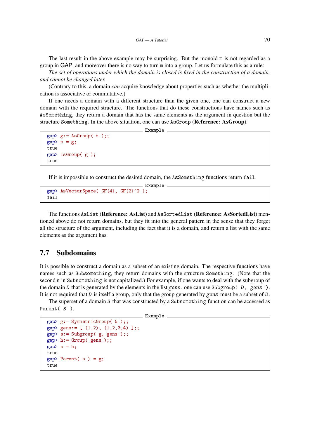The last result in the above example may be surprising. But the monoid m is not regarded as a group in GAP, and moreover there is no way to turn m into a group. Let us formulate this as a rule:

*The set of operations under which the domain is closed is fixed in the construction of a domain, and cannot be changed later.*

(Contrary to this, a domain *can* acquire knowledge about properties such as whether the multiplication is associative or commutative.)

If one needs a domain with a different structure than the given one, one can construct a new domain with the required structure. The functions that do these constructions have names such as AsSomething, they return a domain that has the same elements as the argument in question but the structure Something. In the above situation, one can use AsGroup (Reference: AsGroup).

\_\_ Example

```
gap > g := AsGroup( m );;
gap m = g;
true
gap> IsGroup( g );
true
```
If it is impossible to construct the desired domain, the AsSomething functions return fail.

```
- Example -
gap> AsVectorSpace( GF(4), GF(2)^2);
fail
```
The functions AsList (Reference: AsList) and AsSortedList (Reference: AsSortedList) mentioned above do not return domains, but they fit into the general pattern in the sense that they forget all the structure of the argument, including the fact that it is a domain, and return a list with the same elements as the argument has.

#### 7.7 Subdomains

It is possible to construct a domain as a subset of an existing domain. The respective functions have names such as Subsomething, they return domains with the structure Something. (Note that the second s in Subsomething is not capitalized.) For example, if one wants to deal with the subgroup of the domain D that is generated by the elements in the list gens, one can use Subgroup( $D$ , gens). It is not required that D is itself a group, only that the group generated by gens must be a subset of  $D$ .

The superset of a domain S that was constructed by a Subsomething function can be accessed as Parent (S).

```
\equiv Example.
```

```
gap> g:= SymmetricGroup( 5 );;
gap> gens:= [(1,2), (1,2,3,4) ];;
gap > s := Subgroup( g, gens );gap > h := Group(gens);gap > s = h;true
gap Parent( s ) = g;
true
```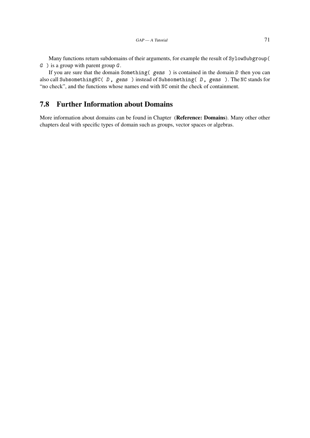Many functions return subdomains of their arguments, for example the result of SylowSubgroup(  $G$ ) is a group with parent group  $G$ .

If you are sure that the domain Something( gens ) is contained in the domain D then you can also call SubsomethingNC( D, gens ) instead of Subsomething( D, gens ). The NC stands for "no check", and the functions whose names end with NC omit the check of containment.

### 7.8 Further Information about Domains

More information about domains can be found in Chapter (Reference: Domains). Many other other chapters deal with specific types of domain such as groups, vector spaces or algebras.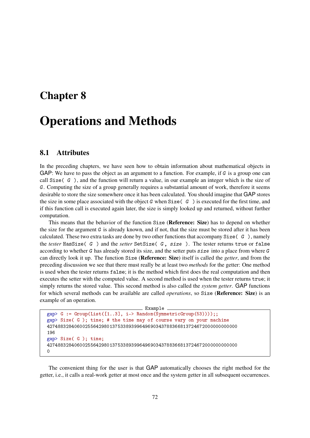## Chapter 8

# Operations and Methods

### 8.1 Attributes

In the preceding chapters, we have seen how to obtain information about mathematical objects in GAP: We have to pass the object as an argument to a function. For example, if  $G$  is a group one can call  $Size(G)$ , and the function will return a value, in our example an integer which is the size of G. Computing the size of a group generally requires a substantial amount of work, therefore it seems desirable to store the size somewhere once it has been calculated. You should imagine that GAP stores the size in some place associated with the object G when Size( $\,$ G) is executed for the first time, and if this function call is executed again later, the size is simply looked up and returned, without further computation.

This means that the behavior of the function Size (Reference: Size) has to depend on whether the size for the argument  $G$  is already known, and if not, that the size must be stored after it has been calculated. These two extra tasks are done by two other functions that accompany  $Size(CG)$ , namely the *tester* HasSize( G ) and the *setter* SetSize( G, size ). The tester returns true or false according to whether G has already stored its size, and the setter puts size into a place from where G can directly look it up. The function Size (Reference: Size) itself is called the *getter*, and from the preceding discussion we see that there must really be at least two *methods* for the getter: One method is used when the tester returns false; it is the method which first does the real computation and then executes the setter with the computed value. A second method is used when the tester returns true; it simply returns the stored value. This second method is also called the *system getter*. GAP functions for which several methods can be available are called *operations*, so Size (Reference: Size) is an example of an operation.

```
\_ Example .
gap > G := Group(List([1..3], i->Random(SymmetricGroup(53))));gap> Size( G ); time; # the time may of course vary on your machine
4274883284060025564298013753389399649690343788366813724672000000000000
196
gap> Size( G ); time;
4274883284060025564298013753389399649690343788366813724672000000000000
0
```
The convenient thing for the user is that GAP automatically chooses the right method for the getter, i.e., it calls a real-work getter at most once and the system getter in all subsequent occurrences.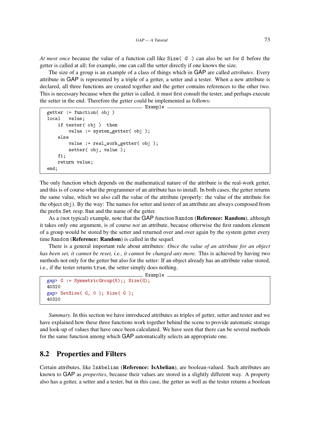<span id="page-72-1"></span>*At most once* because the value of a function call like Size( G) can also be set for G before the getter is called at all; for example, one can call the setter directly if one knows the size.

The size of a group is an example of a class of things which in GAP are called *attributes*. Every attribute in GAP is represented by a triple of a getter, a setter and a tester. When a new attribute is declared, all three functions are created together and the getter contains references to the other two. This is necessary because when the getter is called, it must first consult the tester, and perhaps execute the setter in the end. Therefore the getter could be implemented as follows:

Example

```
getter := function( obj )
local value;
   if tester( obj ) then
        value := system_getter( obj );
    else
        value := real_work_getter( obj );
        setter( obj, value );
   fi;
   return value;
end;
```
The only function which depends on the mathematical nature of the attribute is the real-work getter, and this is of course what the programmer of an attribute has to install. In both cases, the getter returns the same value, which we also call the value of the attribute (properly: the value of the attribute for the object obj). By the way: The names for setter and tester of an attribute are always composed from the prefix Set resp. Has and the name of the getter.

As a (not typical) example, note that the GAP function Random (Reference: Random), although it takes only one argument, is of course *not* an attribute, because otherwise the first random element of a group would be stored by the setter and returned over and over again by the system getter every time Random (Reference: Random) is called in the sequel.

There is a general important rule about attributes: *Once the value of an attribute for an object has been set, it cannot be reset, i.e., it cannot be changed any more.* This is achieved by having two methods not only for the getter but also for the setter: If an object already has an attribute value stored, i.e., if the tester returns true, the setter simply does nothing.

Example

```
gap> G := SymmetricGroup(8);; Size(G);
40320
gap> SetSize( G, 0 ); Size( G );
40320
```
*Summary.* In this section we have introduced attributes as triples of getter, setter and tester and we have explained how these three functions work together behind the scene to provide automatic storage and look-up of values that have once been calculated. We have seen that there can be several methods for the same function among which GAP automatically selects an appropriate one.

#### <span id="page-72-0"></span>8.2 Properties and Filters

Certain attributes, like IsAbelian (Reference: IsAbelian), are boolean-valued. Such attributes are known to GAP as *properties*, because their values are stored in a slightly different way. A property also has a getter, a setter and a tester, but in this case, the getter as well as the tester returns a boolean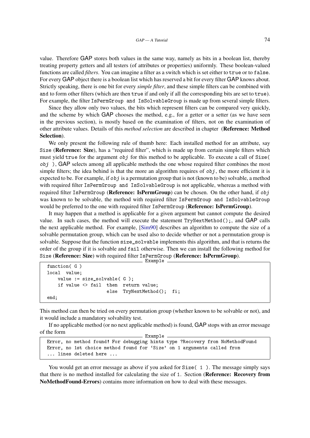<span id="page-73-0"></span>value. Therefore GAP stores both values in the same way, namely as bits in a boolean list, thereby treating property getters and all testers (of attributes or properties) uniformly. These boolean-valued functions are called *filters*. You can imagine a filter as a switch which is set either to true or to false. For every GAP object there is a boolean list which has reserved a bit for every filter GAP knows about. Strictly speaking, there is one bit for every *simple filter*, and these simple filters can be combined with and to form other filters (which are then true if and only if all the corresponding bits are set to true). For example, the filter IsPermGroup and IsSolvableGroup is made up from several simple filters.

Since they allow only two values, the bits which represent filters can be compared very quickly, and the scheme by which GAP chooses the method, e.g., for a getter or a setter (as we have seen in the previous section), is mostly based on the examination of filters, not on the examination of other attribute values. Details of this *method selection* are described in chapter (Reference: Method Selection).

We only present the following rule of thumb here: Each installed method for an attribute, say Size (Reference: Size), has a "required filter", which is made up from certain simple filters which must yield true for the argument  $obj$  for this method to be applicable. To execute a call of  $Size($  $obj$ ), GAP selects among all applicable methods the one whose required filter combines the most simple filters; the idea behind is that the more an algorithm requires of  $obj$ , the more efficient it is expected to be. For example, if  $obj$  is a permutation group that is not (known to be) solvable, a method with required filter IsPermGroup and IsSolvableGroup is not applicable, whereas a method with required filter IsPermGroup (**Reference: IsPermGroup**) can be chosen. On the other hand, if  $obj$ was known to be solvable, the method with required filter IsPermGroup and IsSolvableGroup would be preferred to the one with required filter IsPermGroup (Reference: IsPermGroup).

It may happen that a method is applicable for a given argument but cannot compute the desired value. In such cases, the method will execute the statement TryNextMethod();, and GAP calls the next applicable method. For example, [\[Sim90\]](#page-77-0) describes an algorithm to compute the size of a solvable permutation group, which can be used also to decide whether or not a permutation group is solvable. Suppose that the function size\_solvable implements this algorithm, and that is returns the order of the group if it is solvable and fail otherwise. Then we can install the following method for Size (Reference: Size) with required filter IsPermGroup (Reference: IsPermGroup). Example

```
function( G )
local value;
   value := size solvable( G );
   if value <> fail then return value;
                      else TryNextMethod(); fi;
end;
```
This method can then be tried on every permutation group (whether known to be solvable or not), and it would include a mandatory solvability test.

If no applicable method (or no next applicable method) is found, GAP stops with an error message of the form Example

```
Error, no method found! For debugging hints type ?Recovery from NoMethodFound
Error, no 1st choice method found for 'Size' on 1 arguments called from
... lines deleted here ...
```
You would get an error message as above if you asked for  $Size(1)$ . The message simply says that there is no method installed for calculating the size of 1. Section (Reference: Recovery from NoMethodFound-Errors) contains more information on how to deal with these messages.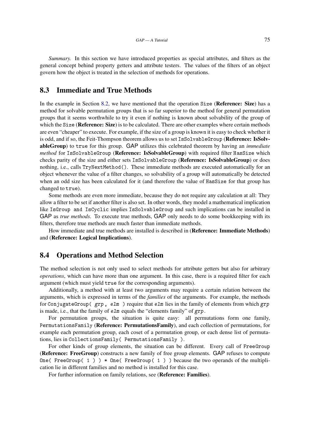<span id="page-74-0"></span>*Summary.* In this section we have introduced properties as special attributes, and filters as the general concept behind property getters and attribute testers. The values of the filters of an object govern how the object is treated in the selection of methods for operations.

### 8.3 Immediate and True Methods

In the example in Section [8.2,](#page-72-0) we have mentioned that the operation Size (**Reference: Size**) has a method for solvable permutation groups that is so far superior to the method for general permutation groups that it seems worthwhile to try it even if nothing is known about solvability of the group of which the Size (**Reference: Size**) is to be calculated. There are other examples where certain methods are even "cheaper" to execute. For example, if the size of a group is known it is easy to check whether it is odd, and if so, the Feit-Thompson theorem allows us to set IsSolvableGroup (Reference: IsSolvableGroup) to true for this group. GAP utilizes this celebrated theorem by having an *immediate method* for IsSolvableGroup (**Reference: IsSolvableGroup**) with required filter HasSize which checks parity of the size and either sets IsSolvableGroup (Reference: IsSolvableGroup) or does nothing, i.e., calls  $TryNextMethod()$ . These immediate methods are executed automatically for an object whenever the value of a filter changes, so solvability of a group will automatically be detected when an odd size has been calculated for it (and therefore the value of HasSize for that group has changed to true).

Some methods are even more immediate, because they do not require any calculation at all: They allow a filter to be set if another filter is also set. In other words, they model a mathematical implication like IsGroup and IsCyclic implies IsSolvableGroup and such implications can be installed in GAP as *true methods*. To execute true methods, GAP only needs to do some bookkeeping with its filters, therefore true methods are much faster than immediate methods.

How immediate and true methods are installed is described in (Reference: Immediate Methods) and (Reference: Logical Implications).

#### 8.4 Operations and Method Selection

The method selection is not only used to select methods for attribute getters but also for arbitrary *operations*, which can have more than one argument. In this case, there is a required filter for each argument (which must yield true for the corresponding arguments).

Additionally, a method with at least two arguments may require a certain relation between the arguments, which is expressed in terms of the *families* of the arguments. For example, the methods for ConjugateGroup( grp, elm) require that elm lies in the family of elements from which grp is made, i.e., that the family of elm equals the "elements family" of grp.

For permutation groups, the situation is quite easy: all permutations form one family, PermutationsFamily (Reference: PermutationsFamily), and each collection of permutations, for example each permutation group, each coset of a permutation group, or each dense list of permutations, lies in CollectionsFamily( PermutationsFamily ).

For other kinds of group elements, the situation can be different. Every call of FreeGroup (Reference: FreeGroup) constructs a new family of free group elements. GAP refuses to compute One( FreeGroup(  $1$  ) )  $*$  One( FreeGroup(  $1$  ) ) because the two operands of the multiplication lie in different families and no method is installed for this case.

For further information on family relations, see (Reference: Families).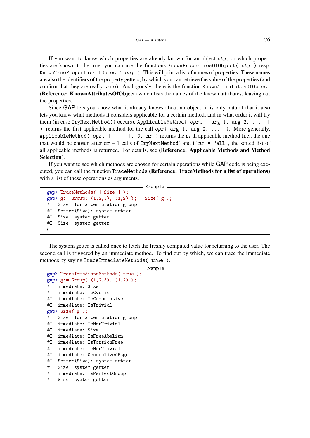<span id="page-75-0"></span>If you want to know which properties are already known for an object  $obj$ , or which properties are known to be true, you can use the functions KnownPropertiesOfObject( obj ) resp. KnownTruePropertiesOfObject(  $obj$  ). This will print a list of names of properties. These names are also the identifiers of the property getters, by which you can retrieve the value of the properties (and confirm that they are really true). Analogously, there is the function KnownAttributesOfObject (Reference: KnownAttributesOfObject) which lists the names of the known attributes, leaving out the properties.

Since GAP lets you know what it already knows about an object, it is only natural that it also lets you know what methods it considers applicable for a certain method, and in what order it will try them (in case TryNextMethod() occurs). ApplicableMethod( opr, [ arg\_1, arg\_2, ... ] ) returns the first applicable method for the call opr ( $arg_1$ ,  $arg_2$ , ... ). More generally, ApplicableMethod( opr,  $[$ ... ], 0, nr ) returns the nrth applicable method (i.e., the one that would be chosen after  $nr - 1$  calls of TryNextMethod) and if  $nr = "all",$  the sorted list of all applicable methods is returned. For details, see (Reference: Applicable Methods and Method Selection).

If you want to see which methods are chosen for certain operations while GAP code is being executed, you can call the function TraceMethods (Reference: TraceMethods for a list of operations) with a list of these operations as arguments.

```
_ Example .
```

```
gap> TraceMethods( [ Size ] );
gap > g := Group( (1,2,3), (1,2) );; Size(g);
#I Size: for a permutation group
#I Setter(Size): system setter
#I Size: system getter
#I Size: system getter
6
```
The system getter is called once to fetch the freshly computed value for returning to the user. The second call is triggered by an immediate method. To find out by which, we can trace the immediate methods by saying TraceImmediateMethods( true ).

```
Example
gap> TraceImmediateMethods( true );
gap > g := Group( (1,2,3), (1,2) );
#I immediate: Size
#I immediate: IsCyclic
#I immediate: IsCommutative
#I immediate: IsTrivial
gap> Size( g );
#I Size: for a permutation group
#I immediate: IsNonTrivial
#I immediate: Size
#I immediate: IsFreeAbelian
#I immediate: IsTorsionFree
#I immediate: IsNonTrivial
#I immediate: GeneralizedPcgs
#I Setter(Size): system setter
#I Size: system getter
#I immediate: IsPerfectGroup
#I Size: system getter
```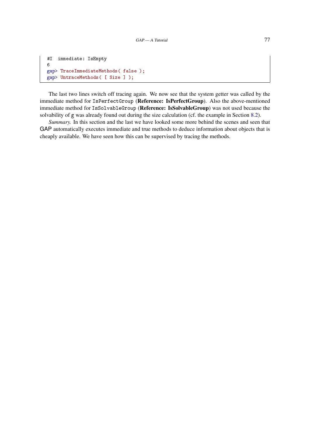```
#I immediate: IsEmpty
6
gap> TraceImmediateMethods( false );
gap> UntraceMethods( [ Size ] );
```
The last two lines switch off tracing again. We now see that the system getter was called by the immediate method for IsPerfectGroup (Reference: IsPerfectGroup). Also the above-mentioned immediate method for IsSolvableGroup (Reference: IsSolvableGroup) was not used because the solvability of g was already found out during the size calculation (cf. the example in Section [8.2\)](#page-72-0).

*Summary.* In this section and the last we have looked some more behind the scenes and seen that GAP automatically executes immediate and true methods to deduce information about objects that is cheaply available. We have seen how this can be supervised by tracing the methods.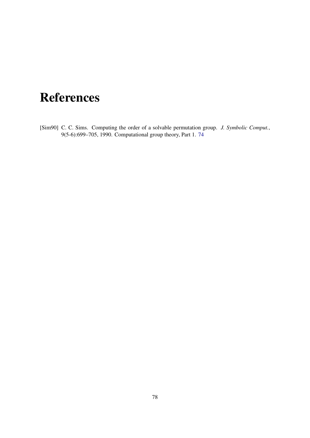# **References**

<span id="page-77-0"></span>[Sim90] C. C. Sims. Computing the order of a solvable permutation group. *J. Symbolic Comput.*, 9(5-6):699–705, 1990. Computational group theory, Part 1. [74](#page-73-0)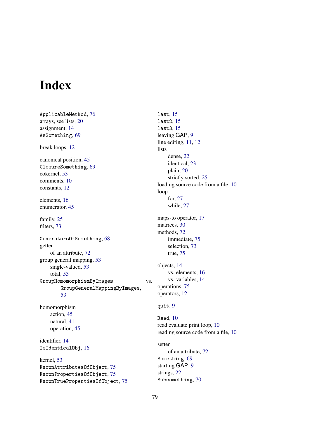## Index

ApplicableMethod, [76](#page-75-0) arrays, see lists, [20](#page-19-0) assignment, [14](#page-13-0) AsSomething, [69](#page-68-0) break loops, [12](#page-11-0) canonical position, [45](#page-44-0) ClosureSomething, [69](#page-68-0) cokernel, [53](#page-52-0) comments, [10](#page-9-0) constants, [12](#page-11-0) elements, [16](#page-15-0) enumerator, [45](#page-44-0) family, [25](#page-24-0) filters, [73](#page-72-1) GeneratorsOfSomething, [68](#page-67-0) getter of an attribute, [72](#page-71-0) group general mapping, [53](#page-52-0) single-valued, [53](#page-52-0) total, [53](#page-52-0) GroupHomomorphismByImages vs. GroupGeneralMappingByImages, [53](#page-52-0) homomorphism action, [45](#page-44-0) natural, [41](#page-40-0) operation, [45](#page-44-0) identifier, [14](#page-13-0) IsIdenticalObj, [16](#page-15-0) kernel, [53](#page-52-0) KnownAttributesOfObject, [75](#page-74-0) KnownPropertiesOfObject, [75](#page-74-0) KnownTruePropertiesOfObject, [75](#page-74-0)

last, [15](#page-14-0) last2, [15](#page-14-0) last3, [15](#page-14-0) leaving GAP, [9](#page-8-0) line editing, [11,](#page-10-0) [12](#page-11-0) lists dense, [22](#page-21-0) identical, [23](#page-22-0) plain, [20](#page-19-0) strictly sorted, [25](#page-24-0) loading source code from a file, [10](#page-9-0) loop for, [27](#page-26-0) while, [27](#page-26-0) maps-to operator, [17](#page-16-0) matrices, [30](#page-29-0) methods, [72](#page-71-0) immediate, [75](#page-74-0) selection, [73](#page-72-1) true, [75](#page-74-0) objects, [14](#page-13-0) vs. elements, [16](#page-15-0) vs. variables, [14](#page-13-0) operations, [75](#page-74-0) operators, [12](#page-11-0) quit, [9](#page-8-0) Read, [10](#page-9-0) read evaluate print loop, [10](#page-9-0) reading source code from a file, [10](#page-9-0) setter of an attribute, [72](#page-71-0) Something, [69](#page-68-0) starting GAP, [9](#page-8-0) strings, [22](#page-21-0) Subsomething, [70](#page-69-0)